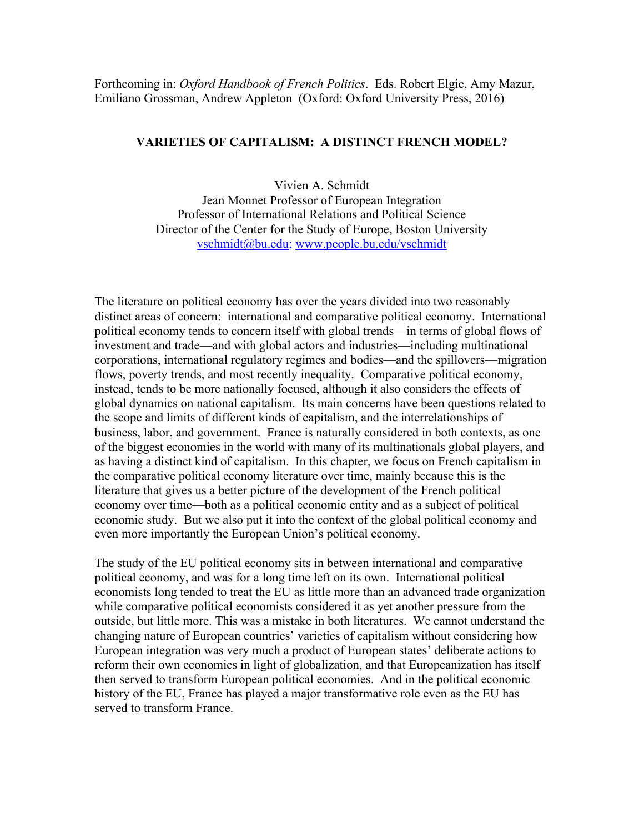Forthcoming in: *Oxford Handbook of French Politics*. Eds. Robert Elgie, Amy Mazur, Emiliano Grossman, Andrew Appleton (Oxford: Oxford University Press, 2016)

## **VARIETIES OF CAPITALISM: A DISTINCT FRENCH MODEL?**

Vivien A. Schmidt

Jean Monnet Professor of European Integration Professor of International Relations and Political Science Director of the Center for the Study of Europe, Boston University vschmidt@bu.edu; www.people.bu.edu/vschmidt

The literature on political economy has over the years divided into two reasonably distinct areas of concern: international and comparative political economy. International political economy tends to concern itself with global trends—in terms of global flows of investment and trade—and with global actors and industries—including multinational corporations, international regulatory regimes and bodies—and the spillovers—migration flows, poverty trends, and most recently inequality. Comparative political economy, instead, tends to be more nationally focused, although it also considers the effects of global dynamics on national capitalism. Its main concerns have been questions related to the scope and limits of different kinds of capitalism, and the interrelationships of business, labor, and government. France is naturally considered in both contexts, as one of the biggest economies in the world with many of its multinationals global players, and as having a distinct kind of capitalism. In this chapter, we focus on French capitalism in the comparative political economy literature over time, mainly because this is the literature that gives us a better picture of the development of the French political economy over time—both as a political economic entity and as a subject of political economic study. But we also put it into the context of the global political economy and even more importantly the European Union's political economy.

The study of the EU political economy sits in between international and comparative political economy, and was for a long time left on its own. International political economists long tended to treat the EU as little more than an advanced trade organization while comparative political economists considered it as yet another pressure from the outside, but little more. This was a mistake in both literatures. We cannot understand the changing nature of European countries' varieties of capitalism without considering how European integration was very much a product of European states' deliberate actions to reform their own economies in light of globalization, and that Europeanization has itself then served to transform European political economies. And in the political economic history of the EU, France has played a major transformative role even as the EU has served to transform France.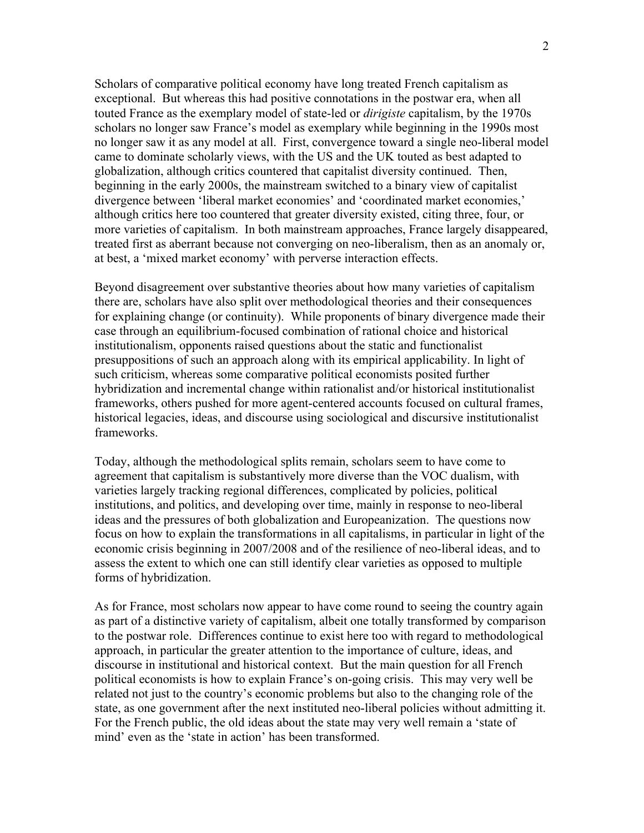Scholars of comparative political economy have long treated French capitalism as exceptional. But whereas this had positive connotations in the postwar era, when all touted France as the exemplary model of state-led or *dirigiste* capitalism, by the 1970s scholars no longer saw France's model as exemplary while beginning in the 1990s most no longer saw it as any model at all. First, convergence toward a single neo-liberal model came to dominate scholarly views, with the US and the UK touted as best adapted to globalization, although critics countered that capitalist diversity continued. Then, beginning in the early 2000s, the mainstream switched to a binary view of capitalist divergence between 'liberal market economies' and 'coordinated market economies,' although critics here too countered that greater diversity existed, citing three, four, or more varieties of capitalism. In both mainstream approaches, France largely disappeared, treated first as aberrant because not converging on neo-liberalism, then as an anomaly or, at best, a 'mixed market economy' with perverse interaction effects.

Beyond disagreement over substantive theories about how many varieties of capitalism there are, scholars have also split over methodological theories and their consequences for explaining change (or continuity). While proponents of binary divergence made their case through an equilibrium-focused combination of rational choice and historical institutionalism, opponents raised questions about the static and functionalist presuppositions of such an approach along with its empirical applicability. In light of such criticism, whereas some comparative political economists posited further hybridization and incremental change within rationalist and/or historical institutionalist frameworks, others pushed for more agent-centered accounts focused on cultural frames, historical legacies, ideas, and discourse using sociological and discursive institutionalist frameworks.

Today, although the methodological splits remain, scholars seem to have come to agreement that capitalism is substantively more diverse than the VOC dualism, with varieties largely tracking regional differences, complicated by policies, political institutions, and politics, and developing over time, mainly in response to neo-liberal ideas and the pressures of both globalization and Europeanization. The questions now focus on how to explain the transformations in all capitalisms, in particular in light of the economic crisis beginning in 2007/2008 and of the resilience of neo-liberal ideas, and to assess the extent to which one can still identify clear varieties as opposed to multiple forms of hybridization.

As for France, most scholars now appear to have come round to seeing the country again as part of a distinctive variety of capitalism, albeit one totally transformed by comparison to the postwar role. Differences continue to exist here too with regard to methodological approach, in particular the greater attention to the importance of culture, ideas, and discourse in institutional and historical context. But the main question for all French political economists is how to explain France's on-going crisis. This may very well be related not just to the country's economic problems but also to the changing role of the state, as one government after the next instituted neo-liberal policies without admitting it. For the French public, the old ideas about the state may very well remain a 'state of mind' even as the 'state in action' has been transformed.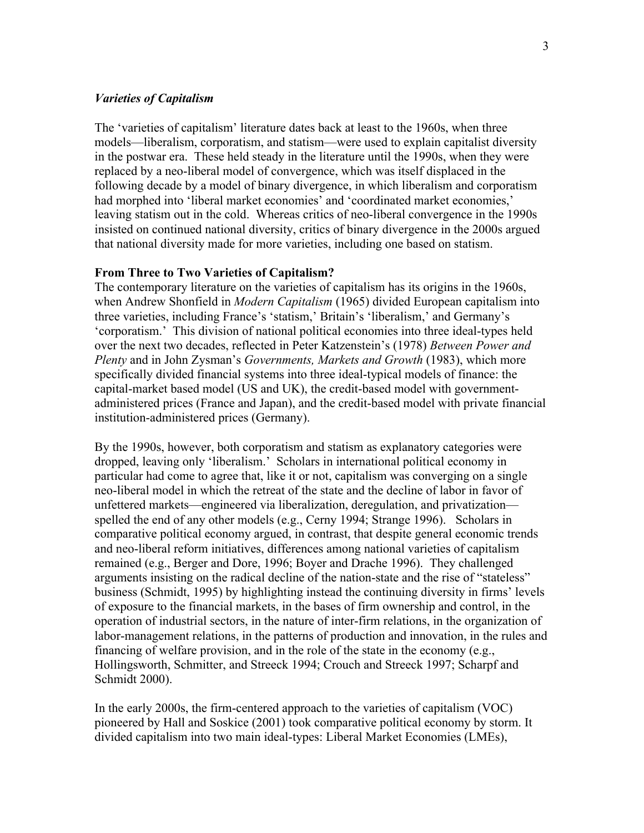# *Varieties of Capitalism*

The 'varieties of capitalism' literature dates back at least to the 1960s, when three models—liberalism, corporatism, and statism—were used to explain capitalist diversity in the postwar era. These held steady in the literature until the 1990s, when they were replaced by a neo-liberal model of convergence, which was itself displaced in the following decade by a model of binary divergence, in which liberalism and corporatism had morphed into 'liberal market economies' and 'coordinated market economies,' leaving statism out in the cold. Whereas critics of neo-liberal convergence in the 1990s insisted on continued national diversity, critics of binary divergence in the 2000s argued that national diversity made for more varieties, including one based on statism.

#### **From Three to Two Varieties of Capitalism?**

The contemporary literature on the varieties of capitalism has its origins in the 1960s, when Andrew Shonfield in *Modern Capitalism* (1965) divided European capitalism into three varieties, including France's 'statism,' Britain's 'liberalism,' and Germany's 'corporatism.' This division of national political economies into three ideal-types held over the next two decades, reflected in Peter Katzenstein's (1978) *Between Power and Plenty* and in John Zysman's *Governments, Markets and Growth* (1983), which more specifically divided financial systems into three ideal-typical models of finance: the capital-market based model (US and UK), the credit-based model with governmentadministered prices (France and Japan), and the credit-based model with private financial institution-administered prices (Germany).

By the 1990s, however, both corporatism and statism as explanatory categories were dropped, leaving only 'liberalism.' Scholars in international political economy in particular had come to agree that, like it or not, capitalism was converging on a single neo-liberal model in which the retreat of the state and the decline of labor in favor of unfettered markets—engineered via liberalization, deregulation, and privatization spelled the end of any other models (e.g., Cerny 1994; Strange 1996). Scholars in comparative political economy argued, in contrast, that despite general economic trends and neo-liberal reform initiatives, differences among national varieties of capitalism remained (e.g., Berger and Dore, 1996; Boyer and Drache 1996). They challenged arguments insisting on the radical decline of the nation-state and the rise of "stateless" business (Schmidt, 1995) by highlighting instead the continuing diversity in firms' levels of exposure to the financial markets, in the bases of firm ownership and control, in the operation of industrial sectors, in the nature of inter-firm relations, in the organization of labor-management relations, in the patterns of production and innovation, in the rules and financing of welfare provision, and in the role of the state in the economy (e.g., Hollingsworth, Schmitter, and Streeck 1994; Crouch and Streeck 1997; Scharpf and Schmidt 2000).

In the early 2000s, the firm-centered approach to the varieties of capitalism (VOC) pioneered by Hall and Soskice (2001) took comparative political economy by storm. It divided capitalism into two main ideal-types: Liberal Market Economies (LMEs),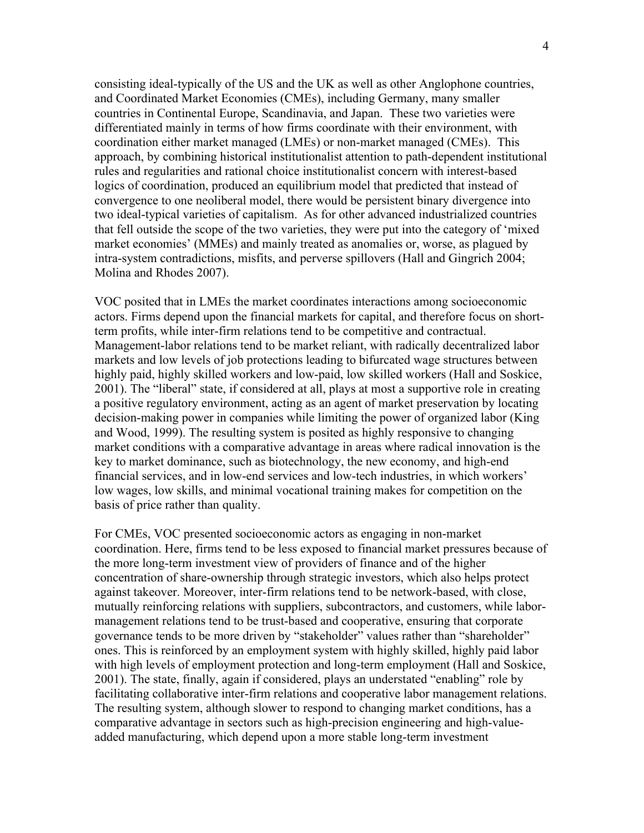consisting ideal-typically of the US and the UK as well as other Anglophone countries, and Coordinated Market Economies (CMEs), including Germany, many smaller countries in Continental Europe, Scandinavia, and Japan. These two varieties were differentiated mainly in terms of how firms coordinate with their environment, with coordination either market managed (LMEs) or non-market managed (CMEs). This approach, by combining historical institutionalist attention to path-dependent institutional rules and regularities and rational choice institutionalist concern with interest-based logics of coordination, produced an equilibrium model that predicted that instead of convergence to one neoliberal model, there would be persistent binary divergence into two ideal-typical varieties of capitalism. As for other advanced industrialized countries that fell outside the scope of the two varieties, they were put into the category of 'mixed market economies' (MMEs) and mainly treated as anomalies or, worse, as plagued by intra-system contradictions, misfits, and perverse spillovers (Hall and Gingrich 2004; Molina and Rhodes 2007).

VOC posited that in LMEs the market coordinates interactions among socioeconomic actors. Firms depend upon the financial markets for capital, and therefore focus on shortterm profits, while inter-firm relations tend to be competitive and contractual. Management-labor relations tend to be market reliant, with radically decentralized labor markets and low levels of job protections leading to bifurcated wage structures between highly paid, highly skilled workers and low-paid, low skilled workers (Hall and Soskice, 2001). The "liberal" state, if considered at all, plays at most a supportive role in creating a positive regulatory environment, acting as an agent of market preservation by locating decision-making power in companies while limiting the power of organized labor (King and Wood, 1999). The resulting system is posited as highly responsive to changing market conditions with a comparative advantage in areas where radical innovation is the key to market dominance, such as biotechnology, the new economy, and high-end financial services, and in low-end services and low-tech industries, in which workers' low wages, low skills, and minimal vocational training makes for competition on the basis of price rather than quality.

For CMEs, VOC presented socioeconomic actors as engaging in non-market coordination. Here, firms tend to be less exposed to financial market pressures because of the more long-term investment view of providers of finance and of the higher concentration of share-ownership through strategic investors, which also helps protect against takeover. Moreover, inter-firm relations tend to be network-based, with close, mutually reinforcing relations with suppliers, subcontractors, and customers, while labormanagement relations tend to be trust-based and cooperative, ensuring that corporate governance tends to be more driven by "stakeholder" values rather than "shareholder" ones. This is reinforced by an employment system with highly skilled, highly paid labor with high levels of employment protection and long-term employment (Hall and Soskice, 2001). The state, finally, again if considered, plays an understated "enabling" role by facilitating collaborative inter-firm relations and cooperative labor management relations. The resulting system, although slower to respond to changing market conditions, has a comparative advantage in sectors such as high-precision engineering and high-valueadded manufacturing, which depend upon a more stable long-term investment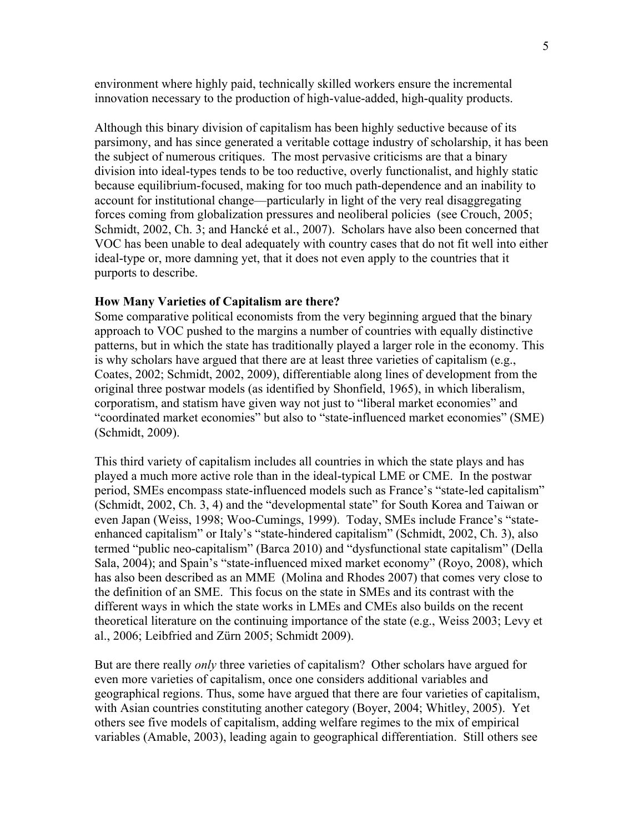environment where highly paid, technically skilled workers ensure the incremental innovation necessary to the production of high-value-added, high-quality products.

Although this binary division of capitalism has been highly seductive because of its parsimony, and has since generated a veritable cottage industry of scholarship, it has been the subject of numerous critiques. The most pervasive criticisms are that a binary division into ideal-types tends to be too reductive, overly functionalist, and highly static because equilibrium-focused, making for too much path-dependence and an inability to account for institutional change––particularly in light of the very real disaggregating forces coming from globalization pressures and neoliberal policies (see Crouch, 2005; Schmidt, 2002, Ch. 3; and Hancké et al., 2007). Scholars have also been concerned that VOC has been unable to deal adequately with country cases that do not fit well into either ideal-type or, more damning yet, that it does not even apply to the countries that it purports to describe.

## **How Many Varieties of Capitalism are there?**

Some comparative political economists from the very beginning argued that the binary approach to VOC pushed to the margins a number of countries with equally distinctive patterns, but in which the state has traditionally played a larger role in the economy. This is why scholars have argued that there are at least three varieties of capitalism (e.g., Coates, 2002; Schmidt, 2002, 2009), differentiable along lines of development from the original three postwar models (as identified by Shonfield, 1965), in which liberalism, corporatism, and statism have given way not just to "liberal market economies" and "coordinated market economies" but also to "state-influenced market economies" (SME) (Schmidt, 2009).

This third variety of capitalism includes all countries in which the state plays and has played a much more active role than in the ideal-typical LME or CME. In the postwar period, SMEs encompass state-influenced models such as France's "state-led capitalism" (Schmidt, 2002, Ch. 3, 4) and the "developmental state" for South Korea and Taiwan or even Japan (Weiss, 1998; Woo-Cumings, 1999). Today, SMEs include France's "stateenhanced capitalism" or Italy's "state-hindered capitalism" (Schmidt, 2002, Ch. 3), also termed "public neo-capitalism" (Barca 2010) and "dysfunctional state capitalism" (Della Sala, 2004); and Spain's "state-influenced mixed market economy" (Royo, 2008), which has also been described as an MME (Molina and Rhodes 2007) that comes very close to the definition of an SME. This focus on the state in SMEs and its contrast with the different ways in which the state works in LMEs and CMEs also builds on the recent theoretical literature on the continuing importance of the state (e.g., Weiss 2003; Levy et al., 2006; Leibfried and Zürn 2005; Schmidt 2009).

But are there really *only* three varieties of capitalism? Other scholars have argued for even more varieties of capitalism, once one considers additional variables and geographical regions. Thus, some have argued that there are four varieties of capitalism, with Asian countries constituting another category (Boyer, 2004; Whitley, 2005). Yet others see five models of capitalism, adding welfare regimes to the mix of empirical variables (Amable, 2003), leading again to geographical differentiation. Still others see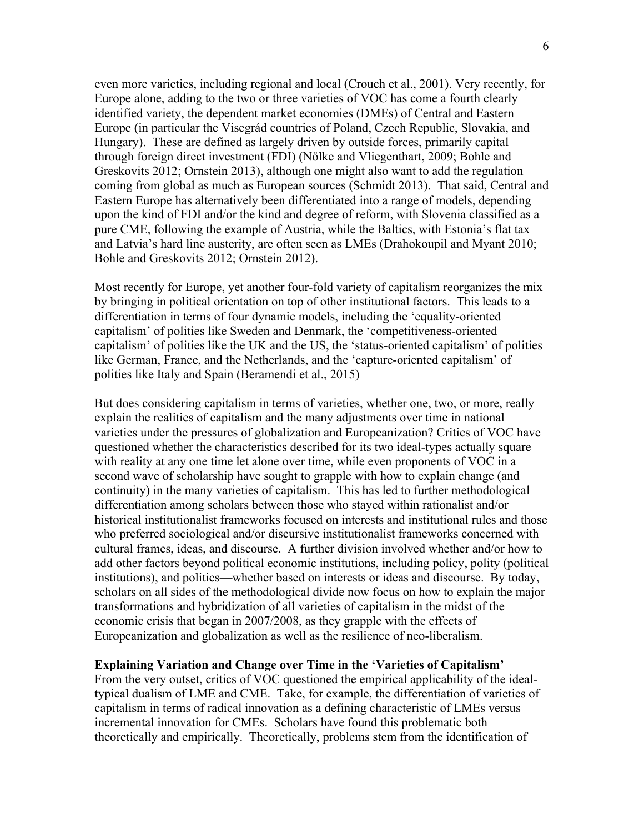even more varieties, including regional and local (Crouch et al., 2001). Very recently, for Europe alone, adding to the two or three varieties of VOC has come a fourth clearly identified variety, the dependent market economies (DMEs) of Central and Eastern Europe (in particular the Visegrád countries of Poland, Czech Republic, Slovakia, and Hungary). These are defined as largely driven by outside forces, primarily capital through foreign direct investment (FDI) (Nölke and Vliegenthart, 2009; Bohle and Greskovits 2012; Ornstein 2013), although one might also want to add the regulation coming from global as much as European sources (Schmidt 2013). That said, Central and Eastern Europe has alternatively been differentiated into a range of models, depending upon the kind of FDI and/or the kind and degree of reform, with Slovenia classified as a pure CME, following the example of Austria, while the Baltics, with Estonia's flat tax and Latvia's hard line austerity, are often seen as LMEs (Drahokoupil and Myant 2010; Bohle and Greskovits 2012; Ornstein 2012).

Most recently for Europe, yet another four-fold variety of capitalism reorganizes the mix by bringing in political orientation on top of other institutional factors. This leads to a differentiation in terms of four dynamic models, including the 'equality-oriented capitalism' of polities like Sweden and Denmark, the 'competitiveness-oriented capitalism' of polities like the UK and the US, the 'status-oriented capitalism' of polities like German, France, and the Netherlands, and the 'capture-oriented capitalism' of polities like Italy and Spain (Beramendi et al., 2015)

But does considering capitalism in terms of varieties, whether one, two, or more, really explain the realities of capitalism and the many adjustments over time in national varieties under the pressures of globalization and Europeanization? Critics of VOC have questioned whether the characteristics described for its two ideal-types actually square with reality at any one time let alone over time, while even proponents of VOC in a second wave of scholarship have sought to grapple with how to explain change (and continuity) in the many varieties of capitalism. This has led to further methodological differentiation among scholars between those who stayed within rationalist and/or historical institutionalist frameworks focused on interests and institutional rules and those who preferred sociological and/or discursive institutionalist frameworks concerned with cultural frames, ideas, and discourse. A further division involved whether and/or how to add other factors beyond political economic institutions, including policy, polity (political institutions), and politics—whether based on interests or ideas and discourse. By today, scholars on all sides of the methodological divide now focus on how to explain the major transformations and hybridization of all varieties of capitalism in the midst of the economic crisis that began in 2007/2008, as they grapple with the effects of Europeanization and globalization as well as the resilience of neo-liberalism.

#### **Explaining Variation and Change over Time in the 'Varieties of Capitalism'**

From the very outset, critics of VOC questioned the empirical applicability of the idealtypical dualism of LME and CME. Take, for example, the differentiation of varieties of capitalism in terms of radical innovation as a defining characteristic of LMEs versus incremental innovation for CMEs. Scholars have found this problematic both theoretically and empirically. Theoretically, problems stem from the identification of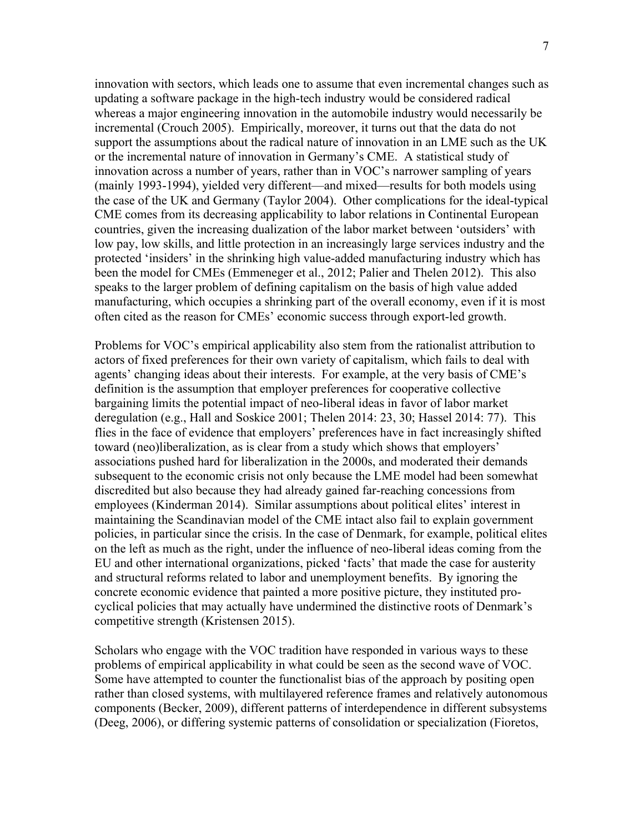innovation with sectors, which leads one to assume that even incremental changes such as updating a software package in the high-tech industry would be considered radical whereas a major engineering innovation in the automobile industry would necessarily be incremental (Crouch 2005). Empirically, moreover, it turns out that the data do not support the assumptions about the radical nature of innovation in an LME such as the UK or the incremental nature of innovation in Germany's CME. A statistical study of innovation across a number of years, rather than in VOC's narrower sampling of years (mainly 1993-1994), yielded very different—and mixed—results for both models using the case of the UK and Germany (Taylor 2004). Other complications for the ideal-typical CME comes from its decreasing applicability to labor relations in Continental European countries, given the increasing dualization of the labor market between 'outsiders' with low pay, low skills, and little protection in an increasingly large services industry and the protected 'insiders' in the shrinking high value-added manufacturing industry which has been the model for CMEs (Emmeneger et al., 2012; Palier and Thelen 2012). This also speaks to the larger problem of defining capitalism on the basis of high value added manufacturing, which occupies a shrinking part of the overall economy, even if it is most often cited as the reason for CMEs' economic success through export-led growth.

Problems for VOC's empirical applicability also stem from the rationalist attribution to actors of fixed preferences for their own variety of capitalism, which fails to deal with agents' changing ideas about their interests. For example, at the very basis of CME's definition is the assumption that employer preferences for cooperative collective bargaining limits the potential impact of neo-liberal ideas in favor of labor market deregulation (e.g., Hall and Soskice 2001; Thelen 2014: 23, 30; Hassel 2014: 77). This flies in the face of evidence that employers' preferences have in fact increasingly shifted toward (neo)liberalization, as is clear from a study which shows that employers' associations pushed hard for liberalization in the 2000s, and moderated their demands subsequent to the economic crisis not only because the LME model had been somewhat discredited but also because they had already gained far-reaching concessions from employees (Kinderman 2014). Similar assumptions about political elites' interest in maintaining the Scandinavian model of the CME intact also fail to explain government policies, in particular since the crisis. In the case of Denmark, for example, political elites on the left as much as the right, under the influence of neo-liberal ideas coming from the EU and other international organizations, picked 'facts' that made the case for austerity and structural reforms related to labor and unemployment benefits. By ignoring the concrete economic evidence that painted a more positive picture, they instituted procyclical policies that may actually have undermined the distinctive roots of Denmark's competitive strength (Kristensen 2015).

Scholars who engage with the VOC tradition have responded in various ways to these problems of empirical applicability in what could be seen as the second wave of VOC. Some have attempted to counter the functionalist bias of the approach by positing open rather than closed systems, with multilayered reference frames and relatively autonomous components (Becker, 2009), different patterns of interdependence in different subsystems (Deeg, 2006), or differing systemic patterns of consolidation or specialization (Fioretos,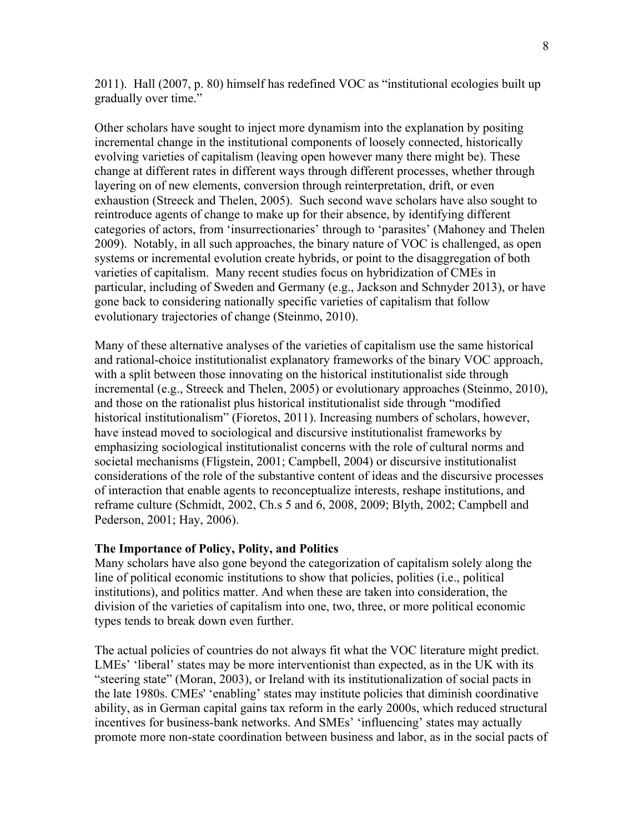2011). Hall (2007, p. 80) himself has redefined VOC as "institutional ecologies built up gradually over time."

Other scholars have sought to inject more dynamism into the explanation by positing incremental change in the institutional components of loosely connected, historically evolving varieties of capitalism (leaving open however many there might be). These change at different rates in different ways through different processes, whether through layering on of new elements, conversion through reinterpretation, drift, or even exhaustion (Streeck and Thelen, 2005). Such second wave scholars have also sought to reintroduce agents of change to make up for their absence, by identifying different categories of actors, from 'insurrectionaries' through to 'parasites' (Mahoney and Thelen 2009). Notably, in all such approaches, the binary nature of VOC is challenged, as open systems or incremental evolution create hybrids, or point to the disaggregation of both varieties of capitalism. Many recent studies focus on hybridization of CMEs in particular, including of Sweden and Germany (e.g., Jackson and Schnyder 2013), or have gone back to considering nationally specific varieties of capitalism that follow evolutionary trajectories of change (Steinmo, 2010).

Many of these alternative analyses of the varieties of capitalism use the same historical and rational-choice institutionalist explanatory frameworks of the binary VOC approach, with a split between those innovating on the historical institutionalist side through incremental (e.g., Streeck and Thelen, 2005) or evolutionary approaches (Steinmo, 2010), and those on the rationalist plus historical institutionalist side through "modified historical institutionalism" (Fioretos, 2011). Increasing numbers of scholars, however, have instead moved to sociological and discursive institutionalist frameworks by emphasizing sociological institutionalist concerns with the role of cultural norms and societal mechanisms (Fligstein, 2001; Campbell, 2004) or discursive institutionalist considerations of the role of the substantive content of ideas and the discursive processes of interaction that enable agents to reconceptualize interests, reshape institutions, and reframe culture (Schmidt, 2002, Ch.s 5 and 6, 2008, 2009; Blyth, 2002; Campbell and Pederson, 2001; Hay, 2006).

#### **The Importance of Policy, Polity, and Politics**

Many scholars have also gone beyond the categorization of capitalism solely along the line of political economic institutions to show that policies, polities (i.e., political institutions), and politics matter. And when these are taken into consideration, the division of the varieties of capitalism into one, two, three, or more political economic types tends to break down even further.

The actual policies of countries do not always fit what the VOC literature might predict. LMEs' 'liberal' states may be more interventionist than expected, as in the UK with its "steering state" (Moran, 2003), or Ireland with its institutionalization of social pacts in the late 1980s. CMEs' 'enabling' states may institute policies that diminish coordinative ability, as in German capital gains tax reform in the early 2000s, which reduced structural incentives for business-bank networks. And SMEs' 'influencing' states may actually promote more non-state coordination between business and labor, as in the social pacts of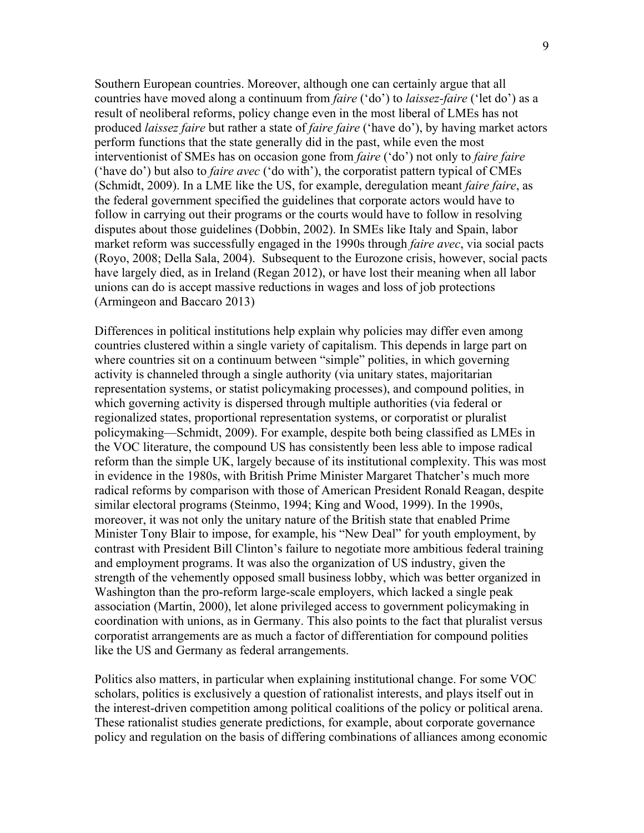Southern European countries. Moreover, although one can certainly argue that all countries have moved along a continuum from *faire* ('do') to *laissez-faire* ('let do') as a result of neoliberal reforms, policy change even in the most liberal of LMEs has not produced *laissez faire* but rather a state of *faire faire* ('have do'), by having market actors perform functions that the state generally did in the past, while even the most interventionist of SMEs has on occasion gone from *faire* ('do') not only to *faire faire* ('have do') but also to *faire avec* ('do with'), the corporatist pattern typical of CMEs (Schmidt, 2009). In a LME like the US, for example, deregulation meant *faire faire*, as the federal government specified the guidelines that corporate actors would have to follow in carrying out their programs or the courts would have to follow in resolving disputes about those guidelines (Dobbin, 2002). In SMEs like Italy and Spain, labor market reform was successfully engaged in the 1990s through *faire avec*, via social pacts (Royo, 2008; Della Sala, 2004). Subsequent to the Eurozone crisis, however, social pacts have largely died, as in Ireland (Regan 2012), or have lost their meaning when all labor unions can do is accept massive reductions in wages and loss of job protections (Armingeon and Baccaro 2013)

Differences in political institutions help explain why policies may differ even among countries clustered within a single variety of capitalism. This depends in large part on where countries sit on a continuum between "simple" polities, in which governing activity is channeled through a single authority (via unitary states, majoritarian representation systems, or statist policymaking processes), and compound polities, in which governing activity is dispersed through multiple authorities (via federal or regionalized states, proportional representation systems, or corporatist or pluralist policymaking—Schmidt, 2009). For example, despite both being classified as LMEs in the VOC literature, the compound US has consistently been less able to impose radical reform than the simple UK, largely because of its institutional complexity. This was most in evidence in the 1980s, with British Prime Minister Margaret Thatcher's much more radical reforms by comparison with those of American President Ronald Reagan, despite similar electoral programs (Steinmo, 1994; King and Wood, 1999). In the 1990s, moreover, it was not only the unitary nature of the British state that enabled Prime Minister Tony Blair to impose, for example, his "New Deal" for youth employment, by contrast with President Bill Clinton's failure to negotiate more ambitious federal training and employment programs. It was also the organization of US industry, given the strength of the vehemently opposed small business lobby, which was better organized in Washington than the pro-reform large-scale employers, which lacked a single peak association (Martin, 2000), let alone privileged access to government policymaking in coordination with unions, as in Germany. This also points to the fact that pluralist versus corporatist arrangements are as much a factor of differentiation for compound polities like the US and Germany as federal arrangements.

Politics also matters, in particular when explaining institutional change. For some VOC scholars, politics is exclusively a question of rationalist interests, and plays itself out in the interest-driven competition among political coalitions of the policy or political arena. These rationalist studies generate predictions, for example, about corporate governance policy and regulation on the basis of differing combinations of alliances among economic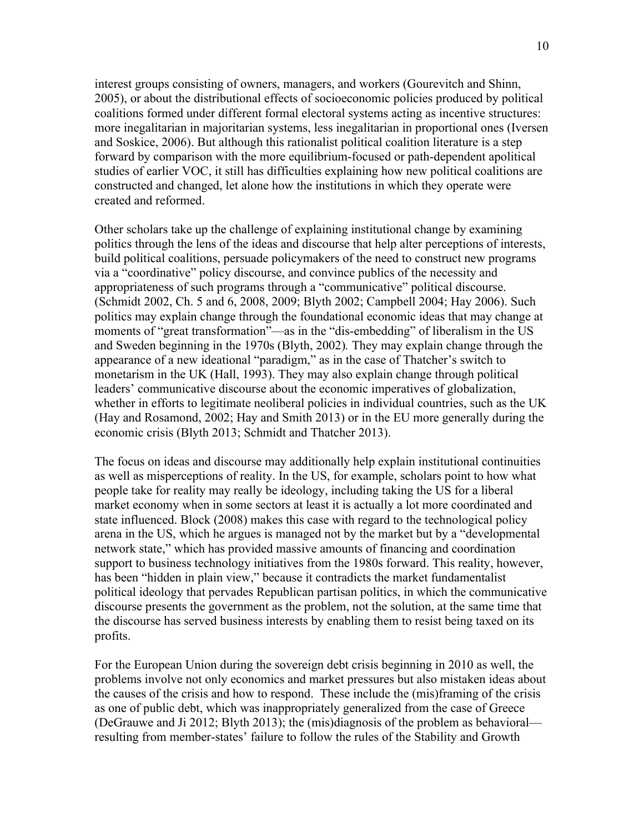interest groups consisting of owners, managers, and workers (Gourevitch and Shinn, 2005), or about the distributional effects of socioeconomic policies produced by political coalitions formed under different formal electoral systems acting as incentive structures: more inegalitarian in majoritarian systems, less inegalitarian in proportional ones (Iversen and Soskice, 2006). But although this rationalist political coalition literature is a step forward by comparison with the more equilibrium-focused or path-dependent apolitical studies of earlier VOC, it still has difficulties explaining how new political coalitions are constructed and changed, let alone how the institutions in which they operate were created and reformed.

Other scholars take up the challenge of explaining institutional change by examining politics through the lens of the ideas and discourse that help alter perceptions of interests, build political coalitions, persuade policymakers of the need to construct new programs via a "coordinative" policy discourse, and convince publics of the necessity and appropriateness of such programs through a "communicative" political discourse. (Schmidt 2002, Ch. 5 and 6, 2008, 2009; Blyth 2002; Campbell 2004; Hay 2006). Such politics may explain change through the foundational economic ideas that may change at moments of "great transformation"—as in the "dis-embedding" of liberalism in the US and Sweden beginning in the 1970s (Blyth, 2002)*.* They may explain change through the appearance of a new ideational "paradigm," as in the case of Thatcher's switch to monetarism in the UK (Hall, 1993). They may also explain change through political leaders' communicative discourse about the economic imperatives of globalization, whether in efforts to legitimate neoliberal policies in individual countries, such as the UK (Hay and Rosamond, 2002; Hay and Smith 2013) or in the EU more generally during the economic crisis (Blyth 2013; Schmidt and Thatcher 2013).

The focus on ideas and discourse may additionally help explain institutional continuities as well as misperceptions of reality. In the US, for example, scholars point to how what people take for reality may really be ideology, including taking the US for a liberal market economy when in some sectors at least it is actually a lot more coordinated and state influenced. Block (2008) makes this case with regard to the technological policy arena in the US, which he argues is managed not by the market but by a "developmental network state," which has provided massive amounts of financing and coordination support to business technology initiatives from the 1980s forward. This reality, however, has been "hidden in plain view," because it contradicts the market fundamentalist political ideology that pervades Republican partisan politics, in which the communicative discourse presents the government as the problem, not the solution, at the same time that the discourse has served business interests by enabling them to resist being taxed on its profits.

For the European Union during the sovereign debt crisis beginning in 2010 as well, the problems involve not only economics and market pressures but also mistaken ideas about the causes of the crisis and how to respond. These include the (mis)framing of the crisis as one of public debt, which was inappropriately generalized from the case of Greece (DeGrauwe and Ji 2012; Blyth 2013); the (mis)diagnosis of the problem as behavioral resulting from member-states' failure to follow the rules of the Stability and Growth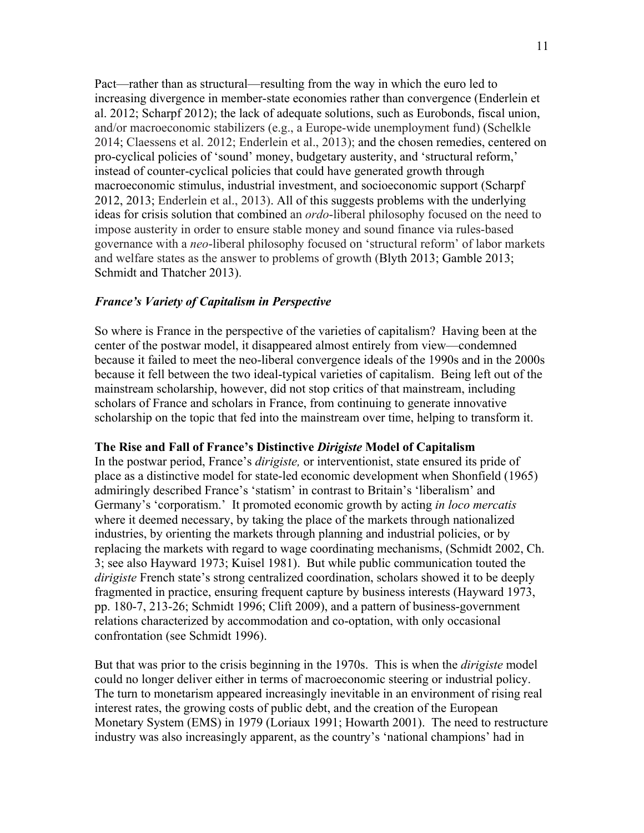Pact—rather than as structural—resulting from the way in which the euro led to increasing divergence in member-state economies rather than convergence (Enderlein et al. 2012; Scharpf 2012); the lack of adequate solutions, such as Eurobonds, fiscal union, and/or macroeconomic stabilizers (e.g., a Europe-wide unemployment fund) (Schelkle 2014; Claessens et al. 2012; Enderlein et al., 2013); and the chosen remedies, centered on pro-cyclical policies of 'sound' money, budgetary austerity, and 'structural reform,' instead of counter-cyclical policies that could have generated growth through macroeconomic stimulus, industrial investment, and socioeconomic support (Scharpf 2012, 2013; Enderlein et al., 2013). All of this suggests problems with the underlying ideas for crisis solution that combined an *ordo*-liberal philosophy focused on the need to impose austerity in order to ensure stable money and sound finance via rules-based governance with a *neo*-liberal philosophy focused on 'structural reform' of labor markets and welfare states as the answer to problems of growth (Blyth 2013; Gamble 2013; Schmidt and Thatcher 2013).

## *France's Variety of Capitalism in Perspective*

So where is France in the perspective of the varieties of capitalism? Having been at the center of the postwar model, it disappeared almost entirely from view—condemned because it failed to meet the neo-liberal convergence ideals of the 1990s and in the 2000s because it fell between the two ideal-typical varieties of capitalism. Being left out of the mainstream scholarship, however, did not stop critics of that mainstream, including scholars of France and scholars in France, from continuing to generate innovative scholarship on the topic that fed into the mainstream over time, helping to transform it.

## **The Rise and Fall of France's Distinctive** *Dirigiste* **Model of Capitalism**

In the postwar period, France's *dirigiste,* or interventionist, state ensured its pride of place as a distinctive model for state-led economic development when Shonfield (1965) admiringly described France's 'statism' in contrast to Britain's 'liberalism' and Germany's 'corporatism.' It promoted economic growth by acting *in loco mercatis* where it deemed necessary, by taking the place of the markets through nationalized industries, by orienting the markets through planning and industrial policies, or by replacing the markets with regard to wage coordinating mechanisms, (Schmidt 2002, Ch. 3; see also Hayward 1973; Kuisel 1981). But while public communication touted the *dirigiste* French state's strong centralized coordination, scholars showed it to be deeply fragmented in practice, ensuring frequent capture by business interests (Hayward 1973, pp. 180-7, 213-26; Schmidt 1996; Clift 2009), and a pattern of business-government relations characterized by accommodation and co-optation, with only occasional confrontation (see Schmidt 1996).

But that was prior to the crisis beginning in the 1970s. This is when the *dirigiste* model could no longer deliver either in terms of macroeconomic steering or industrial policy. The turn to monetarism appeared increasingly inevitable in an environment of rising real interest rates, the growing costs of public debt, and the creation of the European Monetary System (EMS) in 1979 (Loriaux 1991; Howarth 2001). The need to restructure industry was also increasingly apparent, as the country's 'national champions' had in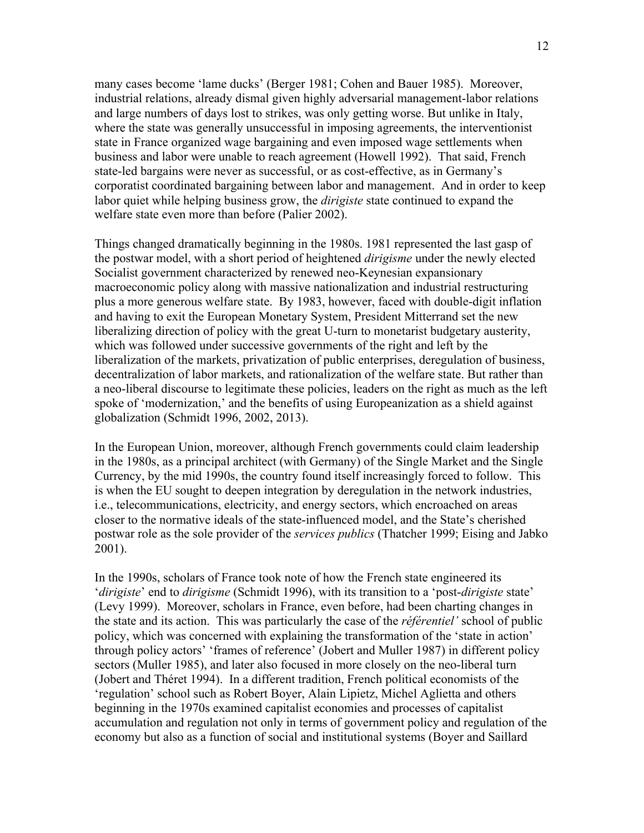many cases become 'lame ducks' (Berger 1981; Cohen and Bauer 1985). Moreover, industrial relations, already dismal given highly adversarial management-labor relations and large numbers of days lost to strikes, was only getting worse. But unlike in Italy, where the state was generally unsuccessful in imposing agreements, the interventionist state in France organized wage bargaining and even imposed wage settlements when business and labor were unable to reach agreement (Howell 1992). That said, French state-led bargains were never as successful, or as cost-effective, as in Germany's corporatist coordinated bargaining between labor and management. And in order to keep labor quiet while helping business grow, the *dirigiste* state continued to expand the welfare state even more than before (Palier 2002).

Things changed dramatically beginning in the 1980s. 1981 represented the last gasp of the postwar model, with a short period of heightened *dirigisme* under the newly elected Socialist government characterized by renewed neo-Keynesian expansionary macroeconomic policy along with massive nationalization and industrial restructuring plus a more generous welfare state. By 1983, however, faced with double-digit inflation and having to exit the European Monetary System, President Mitterrand set the new liberalizing direction of policy with the great U-turn to monetarist budgetary austerity, which was followed under successive governments of the right and left by the liberalization of the markets, privatization of public enterprises, deregulation of business, decentralization of labor markets, and rationalization of the welfare state. But rather than a neo-liberal discourse to legitimate these policies, leaders on the right as much as the left spoke of 'modernization,' and the benefits of using Europeanization as a shield against globalization (Schmidt 1996, 2002, 2013).

In the European Union, moreover, although French governments could claim leadership in the 1980s, as a principal architect (with Germany) of the Single Market and the Single Currency, by the mid 1990s, the country found itself increasingly forced to follow. This is when the EU sought to deepen integration by deregulation in the network industries, i.e., telecommunications, electricity, and energy sectors, which encroached on areas closer to the normative ideals of the state-influenced model, and the State's cherished postwar role as the sole provider of the *services publics* (Thatcher 1999; Eising and Jabko 2001).

In the 1990s, scholars of France took note of how the French state engineered its '*dirigiste*' end to *dirigisme* (Schmidt 1996), with its transition to a 'post-*dirigiste* state' (Levy 1999). Moreover, scholars in France, even before, had been charting changes in the state and its action. This was particularly the case of the *référentiel'* school of public policy, which was concerned with explaining the transformation of the 'state in action' through policy actors' 'frames of reference' (Jobert and Muller 1987) in different policy sectors (Muller 1985), and later also focused in more closely on the neo-liberal turn (Jobert and Théret 1994). In a different tradition, French political economists of the 'regulation' school such as Robert Boyer, Alain Lipietz, Michel Aglietta and others beginning in the 1970s examined capitalist economies and processes of capitalist accumulation and regulation not only in terms of government policy and regulation of the economy but also as a function of social and institutional systems (Boyer and Saillard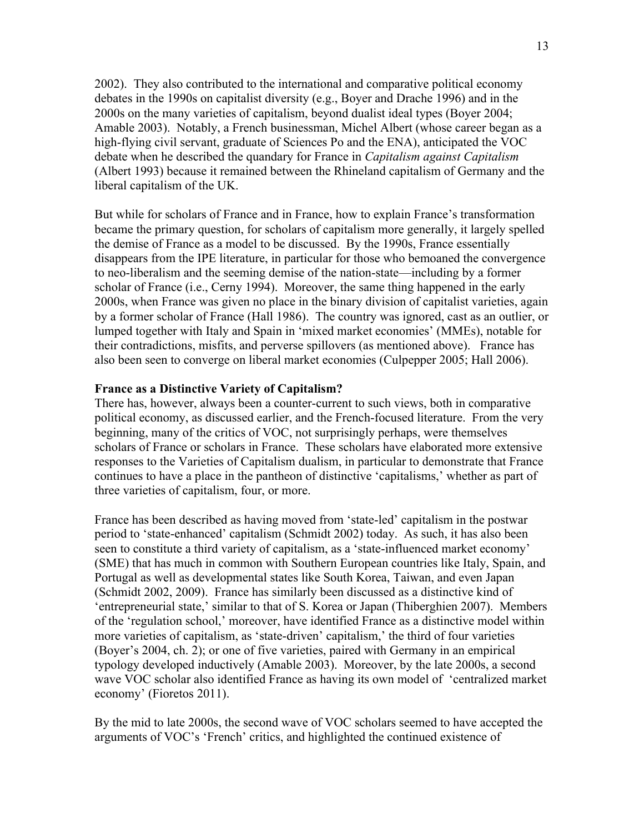2002). They also contributed to the international and comparative political economy debates in the 1990s on capitalist diversity (e.g., Boyer and Drache 1996) and in the 2000s on the many varieties of capitalism, beyond dualist ideal types (Boyer 2004; Amable 2003). Notably, a French businessman, Michel Albert (whose career began as a high-flying civil servant, graduate of Sciences Po and the ENA), anticipated the VOC debate when he described the quandary for France in *Capitalism against Capitalism* (Albert 1993) because it remained between the Rhineland capitalism of Germany and the liberal capitalism of the UK.

But while for scholars of France and in France, how to explain France's transformation became the primary question, for scholars of capitalism more generally, it largely spelled the demise of France as a model to be discussed. By the 1990s, France essentially disappears from the IPE literature, in particular for those who bemoaned the convergence to neo-liberalism and the seeming demise of the nation-state—including by a former scholar of France (i.e., Cerny 1994). Moreover, the same thing happened in the early 2000s, when France was given no place in the binary division of capitalist varieties, again by a former scholar of France (Hall 1986). The country was ignored, cast as an outlier, or lumped together with Italy and Spain in 'mixed market economies' (MMEs), notable for their contradictions, misfits, and perverse spillovers (as mentioned above). France has also been seen to converge on liberal market economies (Culpepper 2005; Hall 2006).

## **France as a Distinctive Variety of Capitalism?**

There has, however, always been a counter-current to such views, both in comparative political economy, as discussed earlier, and the French-focused literature. From the very beginning, many of the critics of VOC, not surprisingly perhaps, were themselves scholars of France or scholars in France. These scholars have elaborated more extensive responses to the Varieties of Capitalism dualism, in particular to demonstrate that France continues to have a place in the pantheon of distinctive 'capitalisms,' whether as part of three varieties of capitalism, four, or more.

France has been described as having moved from 'state-led' capitalism in the postwar period to 'state-enhanced' capitalism (Schmidt 2002) today. As such, it has also been seen to constitute a third variety of capitalism, as a 'state-influenced market economy' (SME) that has much in common with Southern European countries like Italy, Spain, and Portugal as well as developmental states like South Korea, Taiwan, and even Japan (Schmidt 2002, 2009). France has similarly been discussed as a distinctive kind of 'entrepreneurial state,' similar to that of S. Korea or Japan (Thiberghien 2007). Members of the 'regulation school,' moreover, have identified France as a distinctive model within more varieties of capitalism, as 'state-driven' capitalism,' the third of four varieties (Boyer's 2004, ch. 2); or one of five varieties, paired with Germany in an empirical typology developed inductively (Amable 2003). Moreover, by the late 2000s, a second wave VOC scholar also identified France as having its own model of 'centralized market economy' (Fioretos 2011).

By the mid to late 2000s, the second wave of VOC scholars seemed to have accepted the arguments of VOC's 'French' critics, and highlighted the continued existence of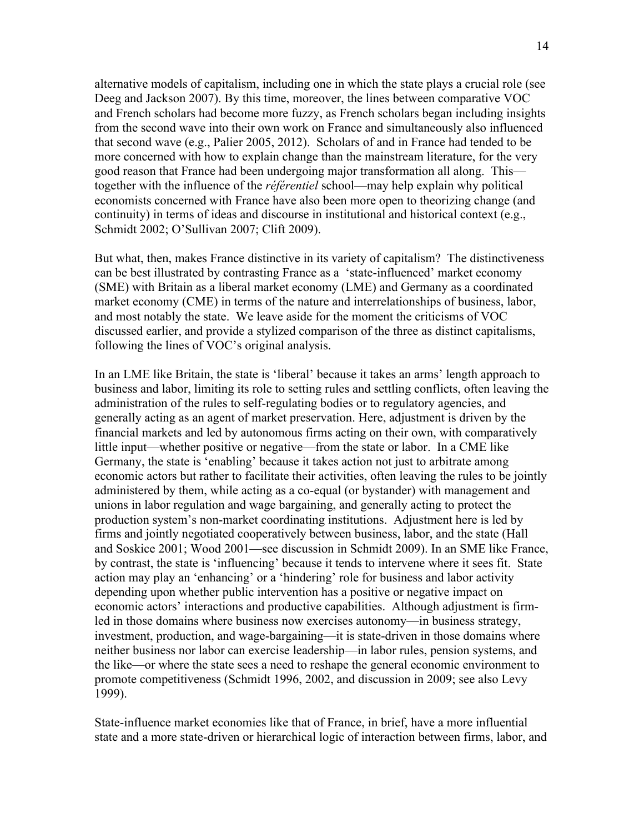alternative models of capitalism, including one in which the state plays a crucial role (see Deeg and Jackson 2007). By this time, moreover, the lines between comparative VOC and French scholars had become more fuzzy, as French scholars began including insights from the second wave into their own work on France and simultaneously also influenced that second wave (e.g., Palier 2005, 2012). Scholars of and in France had tended to be more concerned with how to explain change than the mainstream literature, for the very good reason that France had been undergoing major transformation all along. This together with the influence of the *référentiel* school—may help explain why political economists concerned with France have also been more open to theorizing change (and continuity) in terms of ideas and discourse in institutional and historical context (e.g., Schmidt 2002; O'Sullivan 2007; Clift 2009).

But what, then, makes France distinctive in its variety of capitalism? The distinctiveness can be best illustrated by contrasting France as a 'state-influenced' market economy (SME) with Britain as a liberal market economy (LME) and Germany as a coordinated market economy (CME) in terms of the nature and interrelationships of business, labor, and most notably the state. We leave aside for the moment the criticisms of VOC discussed earlier, and provide a stylized comparison of the three as distinct capitalisms, following the lines of VOC's original analysis.

In an LME like Britain, the state is 'liberal' because it takes an arms' length approach to business and labor, limiting its role to setting rules and settling conflicts, often leaving the administration of the rules to self-regulating bodies or to regulatory agencies, and generally acting as an agent of market preservation. Here, adjustment is driven by the financial markets and led by autonomous firms acting on their own, with comparatively little input—whether positive or negative—from the state or labor. In a CME like Germany, the state is 'enabling' because it takes action not just to arbitrate among economic actors but rather to facilitate their activities, often leaving the rules to be jointly administered by them, while acting as a co-equal (or bystander) with management and unions in labor regulation and wage bargaining, and generally acting to protect the production system's non-market coordinating institutions. Adjustment here is led by firms and jointly negotiated cooperatively between business, labor, and the state (Hall and Soskice 2001; Wood 2001—see discussion in Schmidt 2009). In an SME like France, by contrast, the state is 'influencing' because it tends to intervene where it sees fit. State action may play an 'enhancing' or a 'hindering' role for business and labor activity depending upon whether public intervention has a positive or negative impact on economic actors' interactions and productive capabilities. Although adjustment is firmled in those domains where business now exercises autonomy—in business strategy, investment, production, and wage-bargaining—it is state-driven in those domains where neither business nor labor can exercise leadership—in labor rules, pension systems, and the like—or where the state sees a need to reshape the general economic environment to promote competitiveness (Schmidt 1996, 2002, and discussion in 2009; see also Levy 1999).

State-influence market economies like that of France, in brief, have a more influential state and a more state-driven or hierarchical logic of interaction between firms, labor, and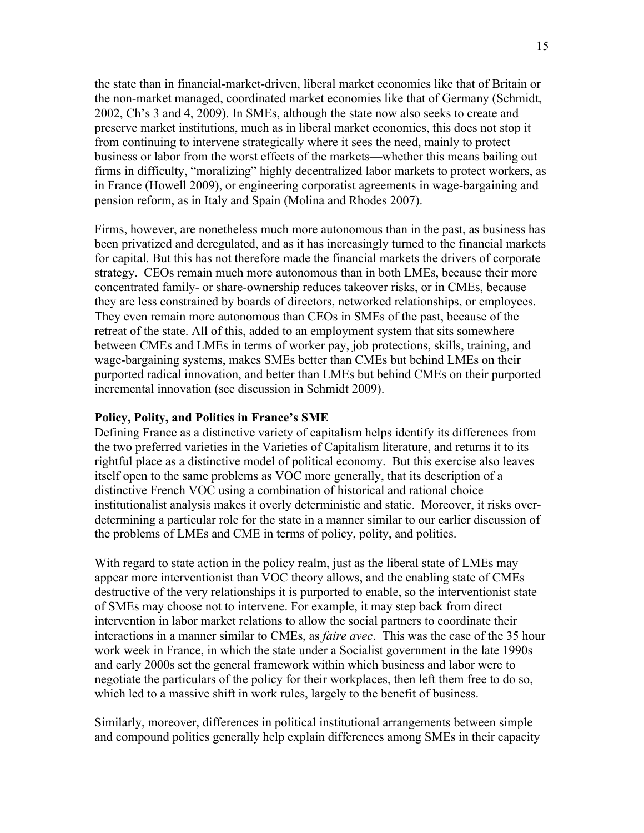the state than in financial-market-driven, liberal market economies like that of Britain or the non-market managed, coordinated market economies like that of Germany (Schmidt, 2002, Ch's 3 and 4, 2009). In SMEs, although the state now also seeks to create and preserve market institutions, much as in liberal market economies, this does not stop it from continuing to intervene strategically where it sees the need, mainly to protect business or labor from the worst effects of the markets—whether this means bailing out firms in difficulty, "moralizing" highly decentralized labor markets to protect workers, as in France (Howell 2009), or engineering corporatist agreements in wage-bargaining and pension reform, as in Italy and Spain (Molina and Rhodes 2007).

Firms, however, are nonetheless much more autonomous than in the past, as business has been privatized and deregulated, and as it has increasingly turned to the financial markets for capital. But this has not therefore made the financial markets the drivers of corporate strategy. CEOs remain much more autonomous than in both LMEs, because their more concentrated family- or share-ownership reduces takeover risks, or in CMEs, because they are less constrained by boards of directors, networked relationships, or employees. They even remain more autonomous than CEOs in SMEs of the past, because of the retreat of the state. All of this, added to an employment system that sits somewhere between CMEs and LMEs in terms of worker pay, job protections, skills, training, and wage-bargaining systems, makes SMEs better than CMEs but behind LMEs on their purported radical innovation, and better than LMEs but behind CMEs on their purported incremental innovation (see discussion in Schmidt 2009).

#### **Policy, Polity, and Politics in France's SME**

Defining France as a distinctive variety of capitalism helps identify its differences from the two preferred varieties in the Varieties of Capitalism literature, and returns it to its rightful place as a distinctive model of political economy. But this exercise also leaves itself open to the same problems as VOC more generally, that its description of a distinctive French VOC using a combination of historical and rational choice institutionalist analysis makes it overly deterministic and static. Moreover, it risks overdetermining a particular role for the state in a manner similar to our earlier discussion of the problems of LMEs and CME in terms of policy, polity, and politics.

With regard to state action in the policy realm, just as the liberal state of LMEs may appear more interventionist than VOC theory allows, and the enabling state of CMEs destructive of the very relationships it is purported to enable, so the interventionist state of SMEs may choose not to intervene. For example, it may step back from direct intervention in labor market relations to allow the social partners to coordinate their interactions in a manner similar to CMEs, as *faire avec*. This was the case of the 35 hour work week in France, in which the state under a Socialist government in the late 1990s and early 2000s set the general framework within which business and labor were to negotiate the particulars of the policy for their workplaces, then left them free to do so, which led to a massive shift in work rules, largely to the benefit of business.

Similarly, moreover, differences in political institutional arrangements between simple and compound polities generally help explain differences among SMEs in their capacity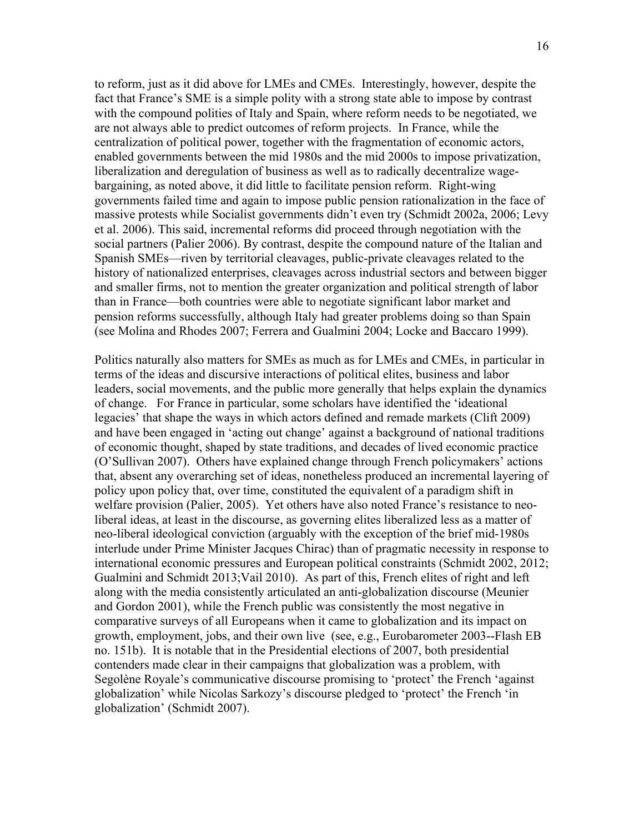to reform, just as it did above for LMEs and CMEs. Interestingly, however, despite the fact that France's SME is a simple polity with a strong state able to impose by contrast with the compound polities of Italy and Spain, where reform needs to be negotiated, we are not always able to predict outcomes of reform projects. In France, while the centralization of political power, together with the fragmentation of economic actors, enabled governments between the mid 1980s and the mid 2000s to impose privatization, liberalization and deregulation of business as well as to radically decentralize wagebargaining, as noted above, it did little to facilitate pension reform. Right-wing governments failed time and again to impose public pension rationalization in the face of massive protests while Socialist governments didn't even try (Schmidt 2002a, 2006; Levy et al. 2006). This said, incremental reforms did proceed through negotiation with the social partners (Palier 2006). By contrast, despite the compound nature of the Italian and Spanish SMEs—riven by territorial cleavages, public-private cleavages related to the history of nationalized enterprises, cleavages across industrial sectors and between bigger and smaller firms, not to mention the greater organization and political strength of labor than in France—both countries were able to negotiate significant labor market and pension reforms successfully, although Italy had greater problems doing so than Spain (see Molina and Rhodes 2007; Ferrera and Gualmini 2004; Locke and Baccaro 1999).

Politics naturally also matters for SMEs as much as for LMEs and CMEs, in particular in terms of the ideas and discursive interactions of political elites, business and labor leaders, social movements, and the public more generally that helps explain the dynamics of change. For France in particular, some scholars have identified the 'ideational legacies' that shape the ways in which actors defined and remade markets (Clift 2009) and have been engaged in 'acting out change' against a background of national traditions of economic thought, shaped by state traditions, and decades of lived economic practice (O'Sullivan 2007). Others have explained change through French policymakers' actions that, absent any overarching set of ideas, nonetheless produced an incremental layering of policy upon policy that, over time, constituted the equivalent of a paradigm shift in welfare provision (Palier, 2005). Yet others have also noted France's resistance to neoliberal ideas, at least in the discourse, as governing elites liberalized less as a matter of neo-liberal ideological conviction (arguably with the exception of the brief mid-1980s interlude under Prime Minister Jacques Chirac) than of pragmatic necessity in response to international economic pressures and European political constraints (Schmidt 2002, 2012; Gualmini and Schmidt 2013;Vail 2010). As part of this, French elites of right and left along with the media consistently articulated an anti-globalization discourse (Meunier and Gordon 2001), while the French public was consistently the most negative in comparative surveys of all Europeans when it came to globalization and its impact on growth, employment, jobs, and their own live (see, e.g., Eurobarometer 2003--Flash EB no. 151b). It is notable that in the Presidential elections of 2007, both presidential contenders made clear in their campaigns that globalization was a problem, with Segolène Royale's communicative discourse promising to 'protect' the French 'against globalization' while Nicolas Sarkozy's discourse pledged to 'protect' the French 'in globalization' (Schmidt 2007).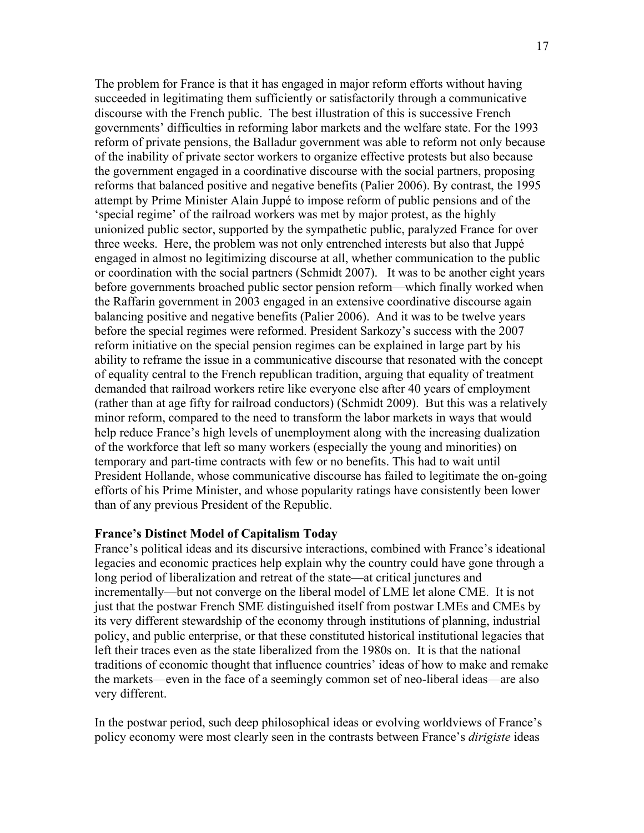The problem for France is that it has engaged in major reform efforts without having succeeded in legitimating them sufficiently or satisfactorily through a communicative discourse with the French public. The best illustration of this is successive French governments' difficulties in reforming labor markets and the welfare state. For the 1993 reform of private pensions, the Balladur government was able to reform not only because of the inability of private sector workers to organize effective protests but also because the government engaged in a coordinative discourse with the social partners, proposing reforms that balanced positive and negative benefits (Palier 2006). By contrast, the 1995 attempt by Prime Minister Alain Juppé to impose reform of public pensions and of the 'special regime' of the railroad workers was met by major protest, as the highly unionized public sector, supported by the sympathetic public, paralyzed France for over three weeks. Here, the problem was not only entrenched interests but also that Juppé engaged in almost no legitimizing discourse at all, whether communication to the public or coordination with the social partners (Schmidt 2007). It was to be another eight years before governments broached public sector pension reform—which finally worked when the Raffarin government in 2003 engaged in an extensive coordinative discourse again balancing positive and negative benefits (Palier 2006). And it was to be twelve years before the special regimes were reformed. President Sarkozy's success with the 2007 reform initiative on the special pension regimes can be explained in large part by his ability to reframe the issue in a communicative discourse that resonated with the concept of equality central to the French republican tradition, arguing that equality of treatment demanded that railroad workers retire like everyone else after 40 years of employment (rather than at age fifty for railroad conductors) (Schmidt 2009). But this was a relatively minor reform, compared to the need to transform the labor markets in ways that would help reduce France's high levels of unemployment along with the increasing dualization of the workforce that left so many workers (especially the young and minorities) on temporary and part-time contracts with few or no benefits. This had to wait until President Hollande, whose communicative discourse has failed to legitimate the on-going efforts of his Prime Minister, and whose popularity ratings have consistently been lower than of any previous President of the Republic.

#### **France's Distinct Model of Capitalism Today**

France's political ideas and its discursive interactions, combined with France's ideational legacies and economic practices help explain why the country could have gone through a long period of liberalization and retreat of the state—at critical junctures and incrementally—but not converge on the liberal model of LME let alone CME. It is not just that the postwar French SME distinguished itself from postwar LMEs and CMEs by its very different stewardship of the economy through institutions of planning, industrial policy, and public enterprise, or that these constituted historical institutional legacies that left their traces even as the state liberalized from the 1980s on. It is that the national traditions of economic thought that influence countries' ideas of how to make and remake the markets—even in the face of a seemingly common set of neo-liberal ideas—are also very different.

In the postwar period, such deep philosophical ideas or evolving worldviews of France's policy economy were most clearly seen in the contrasts between France's *dirigiste* ideas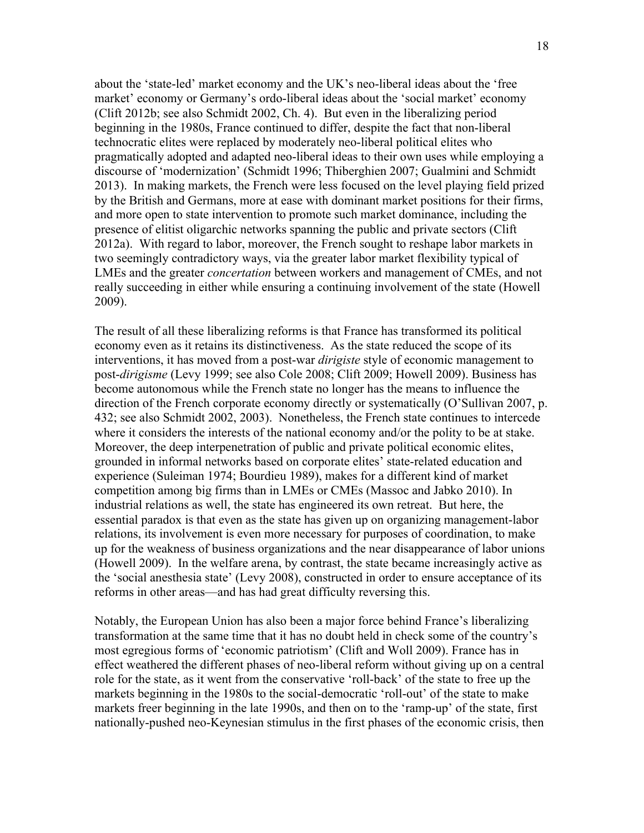about the 'state-led' market economy and the UK's neo-liberal ideas about the 'free market' economy or Germany's ordo-liberal ideas about the 'social market' economy (Clift 2012b; see also Schmidt 2002, Ch. 4). But even in the liberalizing period beginning in the 1980s, France continued to differ, despite the fact that non-liberal technocratic elites were replaced by moderately neo-liberal political elites who pragmatically adopted and adapted neo-liberal ideas to their own uses while employing a discourse of 'modernization' (Schmidt 1996; Thiberghien 2007; Gualmini and Schmidt 2013). In making markets, the French were less focused on the level playing field prized by the British and Germans, more at ease with dominant market positions for their firms, and more open to state intervention to promote such market dominance, including the presence of elitist oligarchic networks spanning the public and private sectors (Clift 2012a). With regard to labor, moreover, the French sought to reshape labor markets in two seemingly contradictory ways, via the greater labor market flexibility typical of LMEs and the greater *concertation* between workers and management of CMEs, and not really succeeding in either while ensuring a continuing involvement of the state (Howell 2009).

The result of all these liberalizing reforms is that France has transformed its political economy even as it retains its distinctiveness. As the state reduced the scope of its interventions, it has moved from a post-war *dirigiste* style of economic management to post-*dirigisme* (Levy 1999; see also Cole 2008; Clift 2009; Howell 2009). Business has become autonomous while the French state no longer has the means to influence the direction of the French corporate economy directly or systematically (O'Sullivan 2007, p. 432; see also Schmidt 2002, 2003). Nonetheless, the French state continues to intercede where it considers the interests of the national economy and/or the polity to be at stake. Moreover, the deep interpenetration of public and private political economic elites, grounded in informal networks based on corporate elites' state-related education and experience (Suleiman 1974; Bourdieu 1989), makes for a different kind of market competition among big firms than in LMEs or CMEs (Massoc and Jabko 2010). In industrial relations as well, the state has engineered its own retreat. But here, the essential paradox is that even as the state has given up on organizing management-labor relations, its involvement is even more necessary for purposes of coordination, to make up for the weakness of business organizations and the near disappearance of labor unions (Howell 2009). In the welfare arena, by contrast, the state became increasingly active as the 'social anesthesia state' (Levy 2008), constructed in order to ensure acceptance of its reforms in other areas—and has had great difficulty reversing this.

Notably, the European Union has also been a major force behind France's liberalizing transformation at the same time that it has no doubt held in check some of the country's most egregious forms of 'economic patriotism' (Clift and Woll 2009). France has in effect weathered the different phases of neo-liberal reform without giving up on a central role for the state, as it went from the conservative 'roll-back' of the state to free up the markets beginning in the 1980s to the social-democratic 'roll-out' of the state to make markets freer beginning in the late 1990s, and then on to the 'ramp-up' of the state, first nationally-pushed neo-Keynesian stimulus in the first phases of the economic crisis, then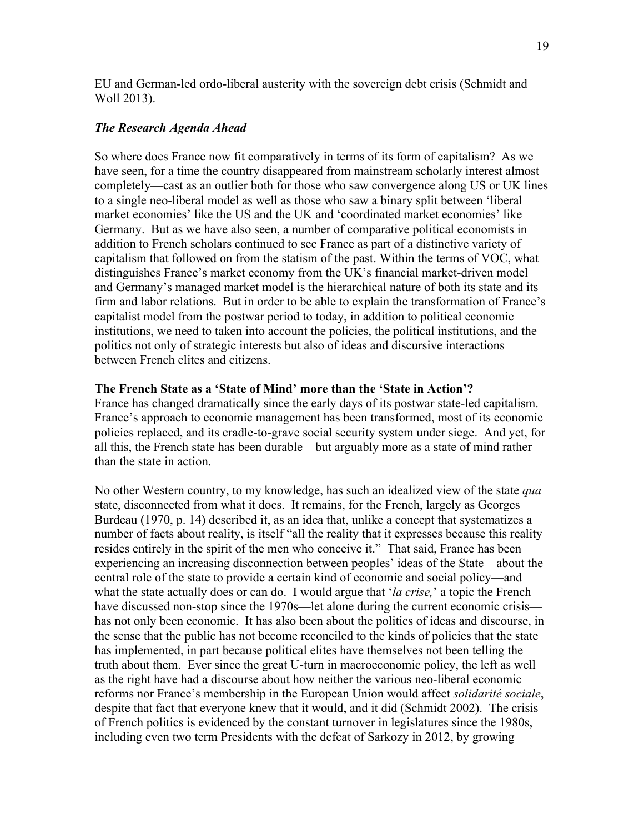EU and German-led ordo-liberal austerity with the sovereign debt crisis (Schmidt and Woll 2013).

#### *The Research Agenda Ahead*

So where does France now fit comparatively in terms of its form of capitalism? As we have seen, for a time the country disappeared from mainstream scholarly interest almost completely—cast as an outlier both for those who saw convergence along US or UK lines to a single neo-liberal model as well as those who saw a binary split between 'liberal market economies' like the US and the UK and 'coordinated market economies' like Germany. But as we have also seen, a number of comparative political economists in addition to French scholars continued to see France as part of a distinctive variety of capitalism that followed on from the statism of the past. Within the terms of VOC, what distinguishes France's market economy from the UK's financial market-driven model and Germany's managed market model is the hierarchical nature of both its state and its firm and labor relations. But in order to be able to explain the transformation of France's capitalist model from the postwar period to today, in addition to political economic institutions, we need to taken into account the policies, the political institutions, and the politics not only of strategic interests but also of ideas and discursive interactions between French elites and citizens.

## **The French State as a 'State of Mind' more than the 'State in Action'?**

France has changed dramatically since the early days of its postwar state-led capitalism. France's approach to economic management has been transformed, most of its economic policies replaced, and its cradle-to-grave social security system under siege. And yet, for all this, the French state has been durable—but arguably more as a state of mind rather than the state in action.

No other Western country, to my knowledge, has such an idealized view of the state *qua* state, disconnected from what it does. It remains, for the French, largely as Georges Burdeau (1970, p. 14) described it, as an idea that, unlike a concept that systematizes a number of facts about reality, is itself "all the reality that it expresses because this reality resides entirely in the spirit of the men who conceive it." That said, France has been experiencing an increasing disconnection between peoples' ideas of the State—about the central role of the state to provide a certain kind of economic and social policy—and what the state actually does or can do. I would argue that '*la crise,*' a topic the French have discussed non-stop since the 1970s—let alone during the current economic crisis has not only been economic. It has also been about the politics of ideas and discourse, in the sense that the public has not become reconciled to the kinds of policies that the state has implemented, in part because political elites have themselves not been telling the truth about them. Ever since the great U-turn in macroeconomic policy, the left as well as the right have had a discourse about how neither the various neo-liberal economic reforms nor France's membership in the European Union would affect *solidarité sociale*, despite that fact that everyone knew that it would, and it did (Schmidt 2002). The crisis of French politics is evidenced by the constant turnover in legislatures since the 1980s, including even two term Presidents with the defeat of Sarkozy in 2012, by growing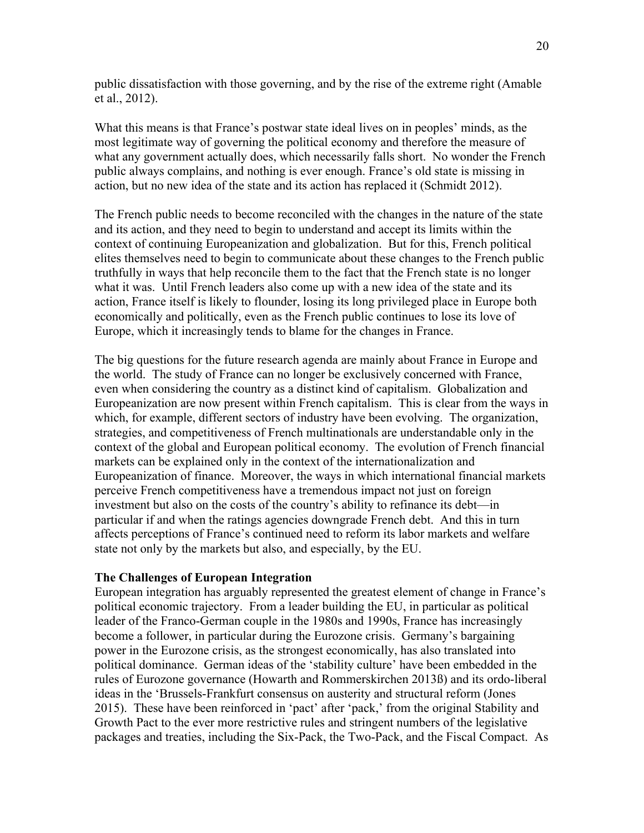public dissatisfaction with those governing, and by the rise of the extreme right (Amable et al., 2012).

What this means is that France's postwar state ideal lives on in peoples' minds, as the most legitimate way of governing the political economy and therefore the measure of what any government actually does, which necessarily falls short. No wonder the French public always complains, and nothing is ever enough. France's old state is missing in action, but no new idea of the state and its action has replaced it (Schmidt 2012).

The French public needs to become reconciled with the changes in the nature of the state and its action, and they need to begin to understand and accept its limits within the context of continuing Europeanization and globalization. But for this, French political elites themselves need to begin to communicate about these changes to the French public truthfully in ways that help reconcile them to the fact that the French state is no longer what it was. Until French leaders also come up with a new idea of the state and its action, France itself is likely to flounder, losing its long privileged place in Europe both economically and politically, even as the French public continues to lose its love of Europe, which it increasingly tends to blame for the changes in France.

The big questions for the future research agenda are mainly about France in Europe and the world. The study of France can no longer be exclusively concerned with France, even when considering the country as a distinct kind of capitalism. Globalization and Europeanization are now present within French capitalism. This is clear from the ways in which, for example, different sectors of industry have been evolving. The organization, strategies, and competitiveness of French multinationals are understandable only in the context of the global and European political economy. The evolution of French financial markets can be explained only in the context of the internationalization and Europeanization of finance. Moreover, the ways in which international financial markets perceive French competitiveness have a tremendous impact not just on foreign investment but also on the costs of the country's ability to refinance its debt—in particular if and when the ratings agencies downgrade French debt. And this in turn affects perceptions of France's continued need to reform its labor markets and welfare state not only by the markets but also, and especially, by the EU.

## **The Challenges of European Integration**

European integration has arguably represented the greatest element of change in France's political economic trajectory. From a leader building the EU, in particular as political leader of the Franco-German couple in the 1980s and 1990s, France has increasingly become a follower, in particular during the Eurozone crisis. Germany's bargaining power in the Eurozone crisis, as the strongest economically, has also translated into political dominance. German ideas of the 'stability culture' have been embedded in the rules of Eurozone governance (Howarth and Rommerskirchen 2013ß) and its ordo-liberal ideas in the 'Brussels-Frankfurt consensus on austerity and structural reform (Jones 2015). These have been reinforced in 'pact' after 'pack,' from the original Stability and Growth Pact to the ever more restrictive rules and stringent numbers of the legislative packages and treaties, including the Six-Pack, the Two-Pack, and the Fiscal Compact. As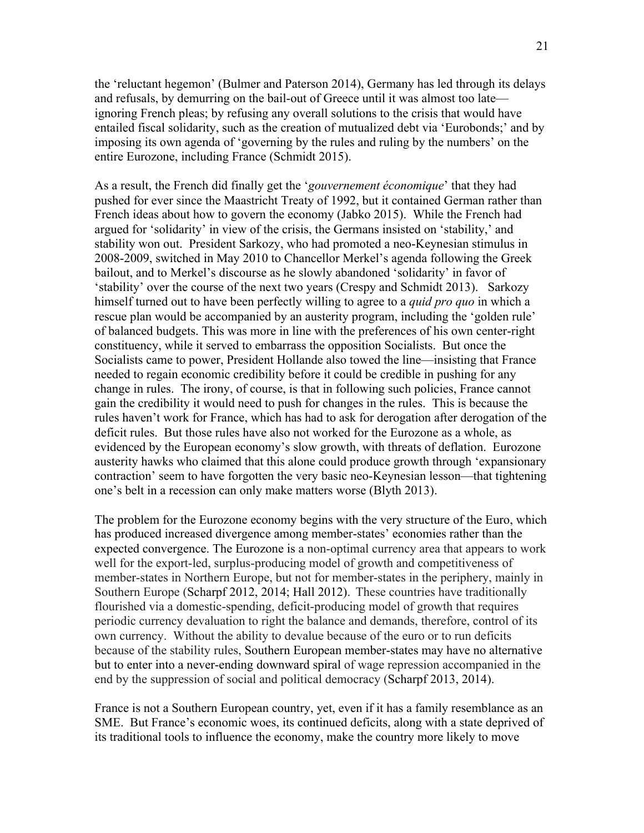the 'reluctant hegemon' (Bulmer and Paterson 2014), Germany has led through its delays and refusals, by demurring on the bail-out of Greece until it was almost too late ignoring French pleas; by refusing any overall solutions to the crisis that would have entailed fiscal solidarity, such as the creation of mutualized debt via 'Eurobonds;' and by imposing its own agenda of 'governing by the rules and ruling by the numbers' on the entire Eurozone, including France (Schmidt 2015).

As a result, the French did finally get the '*gouvernement économique*' that they had pushed for ever since the Maastricht Treaty of 1992, but it contained German rather than French ideas about how to govern the economy (Jabko 2015). While the French had argued for 'solidarity' in view of the crisis, the Germans insisted on 'stability,' and stability won out. President Sarkozy, who had promoted a neo-Keynesian stimulus in 2008-2009, switched in May 2010 to Chancellor Merkel's agenda following the Greek bailout, and to Merkel's discourse as he slowly abandoned 'solidarity' in favor of 'stability' over the course of the next two years (Crespy and Schmidt 2013). Sarkozy himself turned out to have been perfectly willing to agree to a *quid pro quo* in which a rescue plan would be accompanied by an austerity program, including the 'golden rule' of balanced budgets. This was more in line with the preferences of his own center-right constituency, while it served to embarrass the opposition Socialists. But once the Socialists came to power, President Hollande also towed the line—insisting that France needed to regain economic credibility before it could be credible in pushing for any change in rules. The irony, of course, is that in following such policies, France cannot gain the credibility it would need to push for changes in the rules. This is because the rules haven't work for France, which has had to ask for derogation after derogation of the deficit rules. But those rules have also not worked for the Eurozone as a whole, as evidenced by the European economy's slow growth, with threats of deflation. Eurozone austerity hawks who claimed that this alone could produce growth through 'expansionary contraction' seem to have forgotten the very basic neo-Keynesian lesson—that tightening one's belt in a recession can only make matters worse (Blyth 2013).

The problem for the Eurozone economy begins with the very structure of the Euro, which has produced increased divergence among member-states' economies rather than the expected convergence. The Eurozone is a non-optimal currency area that appears to work well for the export-led, surplus-producing model of growth and competitiveness of member-states in Northern Europe, but not for member-states in the periphery, mainly in Southern Europe (Scharpf 2012, 2014; Hall 2012). These countries have traditionally flourished via a domestic-spending, deficit-producing model of growth that requires periodic currency devaluation to right the balance and demands, therefore, control of its own currency. Without the ability to devalue because of the euro or to run deficits because of the stability rules, Southern European member-states may have no alternative but to enter into a never-ending downward spiral of wage repression accompanied in the end by the suppression of social and political democracy (Scharpf 2013, 2014).

France is not a Southern European country, yet, even if it has a family resemblance as an SME. But France's economic woes, its continued deficits, along with a state deprived of its traditional tools to influence the economy, make the country more likely to move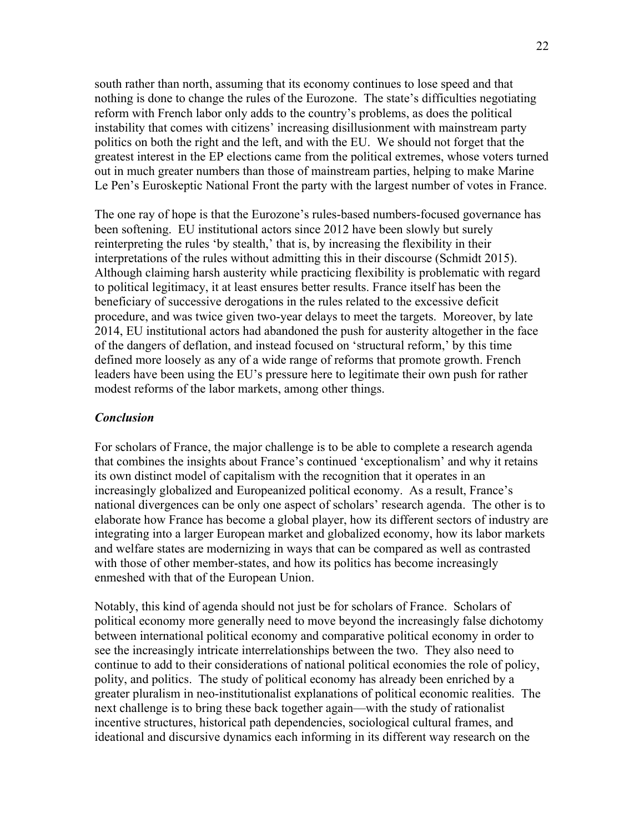south rather than north, assuming that its economy continues to lose speed and that nothing is done to change the rules of the Eurozone. The state's difficulties negotiating reform with French labor only adds to the country's problems, as does the political instability that comes with citizens' increasing disillusionment with mainstream party politics on both the right and the left, and with the EU. We should not forget that the greatest interest in the EP elections came from the political extremes, whose voters turned out in much greater numbers than those of mainstream parties, helping to make Marine Le Pen's Euroskeptic National Front the party with the largest number of votes in France.

The one ray of hope is that the Eurozone's rules-based numbers-focused governance has been softening. EU institutional actors since 2012 have been slowly but surely reinterpreting the rules 'by stealth,' that is, by increasing the flexibility in their interpretations of the rules without admitting this in their discourse (Schmidt 2015). Although claiming harsh austerity while practicing flexibility is problematic with regard to political legitimacy, it at least ensures better results. France itself has been the beneficiary of successive derogations in the rules related to the excessive deficit procedure, and was twice given two-year delays to meet the targets. Moreover, by late 2014, EU institutional actors had abandoned the push for austerity altogether in the face of the dangers of deflation, and instead focused on 'structural reform,' by this time defined more loosely as any of a wide range of reforms that promote growth. French leaders have been using the EU's pressure here to legitimate their own push for rather modest reforms of the labor markets, among other things.

## *Conclusion*

For scholars of France, the major challenge is to be able to complete a research agenda that combines the insights about France's continued 'exceptionalism' and why it retains its own distinct model of capitalism with the recognition that it operates in an increasingly globalized and Europeanized political economy. As a result, France's national divergences can be only one aspect of scholars' research agenda. The other is to elaborate how France has become a global player, how its different sectors of industry are integrating into a larger European market and globalized economy, how its labor markets and welfare states are modernizing in ways that can be compared as well as contrasted with those of other member-states, and how its politics has become increasingly enmeshed with that of the European Union.

Notably, this kind of agenda should not just be for scholars of France. Scholars of political economy more generally need to move beyond the increasingly false dichotomy between international political economy and comparative political economy in order to see the increasingly intricate interrelationships between the two. They also need to continue to add to their considerations of national political economies the role of policy, polity, and politics. The study of political economy has already been enriched by a greater pluralism in neo-institutionalist explanations of political economic realities. The next challenge is to bring these back together again—with the study of rationalist incentive structures, historical path dependencies, sociological cultural frames, and ideational and discursive dynamics each informing in its different way research on the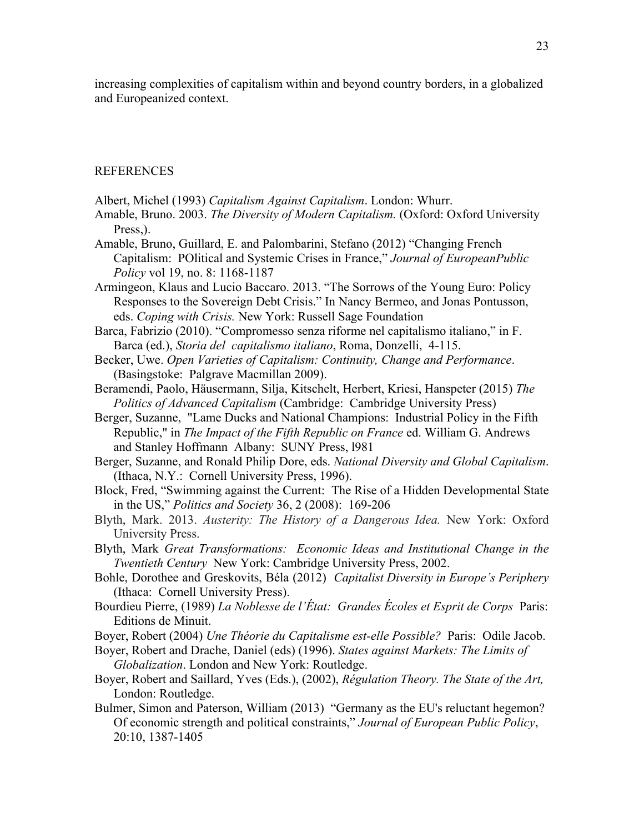increasing complexities of capitalism within and beyond country borders, in a globalized and Europeanized context.

#### REFERENCES

- Albert, Michel (1993) *Capitalism Against Capitalism*. London: Whurr.
- Amable, Bruno. 2003. *The Diversity of Modern Capitalism.* (Oxford: Oxford University Press<sub>,</sub>).
- Amable, Bruno, Guillard, E. and Palombarini, Stefano (2012) "Changing French Capitalism: POlitical and Systemic Crises in France," *Journal of EuropeanPublic Policy* vol 19, no. 8: 1168-1187
- Armingeon, Klaus and Lucio Baccaro. 2013. "The Sorrows of the Young Euro: Policy Responses to the Sovereign Debt Crisis." In Nancy Bermeo, and Jonas Pontusson, eds. *Coping with Crisis.* New York: Russell Sage Foundation

Barca, Fabrizio (2010). "Compromesso senza riforme nel capitalismo italiano," in F. Barca (ed.), *Storia del capitalismo italiano*, Roma, Donzelli, 4-115.

- Becker, Uwe. *Open Varieties of Capitalism: Continuity, Change and Performance*. (Basingstoke: Palgrave Macmillan 2009).
- Beramendi, Paolo, Häusermann, Silja, Kitschelt, Herbert, Kriesi, Hanspeter (2015) *The Politics of Advanced Capitalism* (Cambridge: Cambridge University Press)
- Berger, Suzanne, "Lame Ducks and National Champions: Industrial Policy in the Fifth Republic," in *The Impact of the Fifth Republic on France* ed. William G. Andrews and Stanley Hoffmann Albany: SUNY Press, l981

Berger, Suzanne, and Ronald Philip Dore, eds. *National Diversity and Global Capitalism*. (Ithaca, N.Y.: Cornell University Press, 1996).

- Block, Fred, "Swimming against the Current: The Rise of a Hidden Developmental State in the US," *Politics and Society* 36, 2 (2008): 169-206
- Blyth, Mark. 2013. *Austerity: The History of a Dangerous Idea.* New York: Oxford University Press.
- Blyth, Mark *Great Transformations: Economic Ideas and Institutional Change in the Twentieth Century* New York: Cambridge University Press, 2002.
- Bohle, Dorothee and Greskovits, Béla (2012) *Capitalist Diversity in Europe's Periphery* (Ithaca: Cornell University Press).
- Bourdieu Pierre, (1989) *La Noblesse de l'État: Grandes Écoles et Esprit de Corps* Paris: Editions de Minuit.

Boyer, Robert (2004) *Une Théorie du Capitalisme est-elle Possible?* Paris: Odile Jacob.

- Boyer, Robert and Drache, Daniel (eds) (1996). *States against Markets: The Limits of Globalization*. London and New York: Routledge.
- Boyer, Robert and Saillard, Yves (Eds.), (2002), *Régulation Theory. The State of the Art,*  London: Routledge.
- Bulmer, Simon and Paterson, William (2013) "Germany as the EU's reluctant hegemon? Of economic strength and political constraints," *Journal of European Public Policy*, 20:10, 1387-1405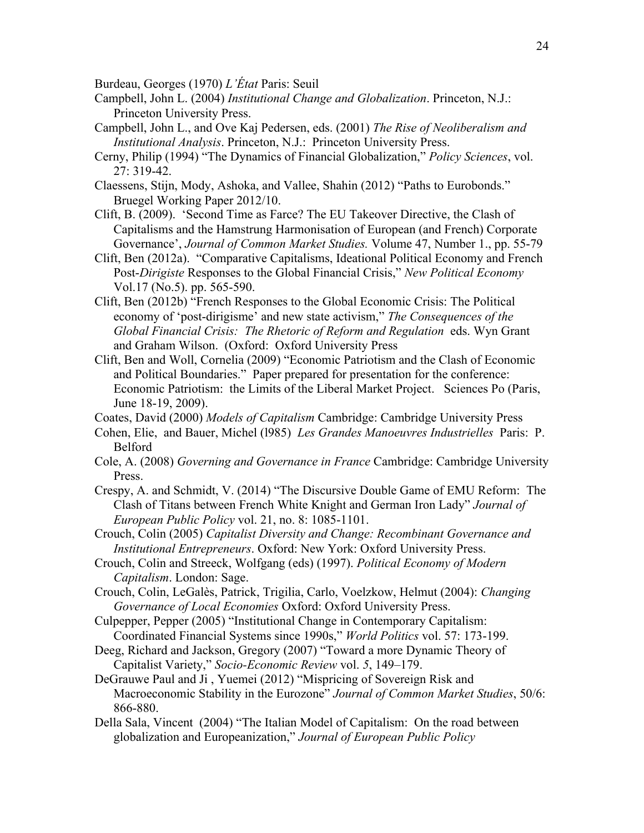Burdeau, Georges (1970) *L'État* Paris: Seuil

- Campbell, John L. (2004) *Institutional Change and Globalization*. Princeton, N.J.: Princeton University Press.
- Campbell, John L., and Ove Kaj Pedersen, eds. (2001) *The Rise of Neoliberalism and Institutional Analysis*. Princeton, N.J.: Princeton University Press.
- Cerny, Philip (1994) "The Dynamics of Financial Globalization," *Policy Sciences*, vol. 27: 319-42.
- Claessens, Stijn, Mody, Ashoka, and Vallee, Shahin (2012) "Paths to Eurobonds." Bruegel Working Paper 2012/10.
- Clift, B. (2009). 'Second Time as Farce? The EU Takeover Directive, the Clash of Capitalisms and the Hamstrung Harmonisation of European (and French) Corporate Governance', *Journal of Common Market Studies.* Volume 47, Number 1., pp. 55-79
- Clift, Ben (2012a). "Comparative Capitalisms, Ideational Political Economy and French Post-*Dirigiste* Responses to the Global Financial Crisis," *New Political Economy* Vol.17 (No.5). pp. 565-590.
- Clift, Ben (2012b) "French Responses to the Global Economic Crisis: The Political economy of 'post-dirigisme' and new state activism," *The Consequences of the Global Financial Crisis: The Rhetoric of Reform and Regulation* eds. Wyn Grant and Graham Wilson. (Oxford: Oxford University Press
- Clift, Ben and Woll, Cornelia (2009) "Economic Patriotism and the Clash of Economic and Political Boundaries." Paper prepared for presentation for the conference: Economic Patriotism: the Limits of the Liberal Market Project. Sciences Po (Paris, June 18-19, 2009).
- Coates, David (2000) *Models of Capitalism* Cambridge: Cambridge University Press
- Cohen, Elie, and Bauer, Michel (l985) *Les Grandes Manoeuvres Industrielles* Paris: P. Belford
- Cole, A. (2008) *Governing and Governance in France* Cambridge: Cambridge University Press.
- Crespy, A. and Schmidt, V. (2014) "The Discursive Double Game of EMU Reform: The Clash of Titans between French White Knight and German Iron Lady" *Journal of European Public Policy* vol. 21, no. 8: 1085-1101.
- Crouch, Colin (2005) *Capitalist Diversity and Change: Recombinant Governance and Institutional Entrepreneurs*. Oxford: New York: Oxford University Press.
- Crouch, Colin and Streeck, Wolfgang (eds) (1997). *Political Economy of Modern Capitalism*. London: Sage.
- Crouch, Colin, LeGalès, Patrick, Trigilia, Carlo, Voelzkow, Helmut (2004): *Changing Governance of Local Economies* Oxford: Oxford University Press.
- Culpepper, Pepper (2005) "Institutional Change in Contemporary Capitalism: Coordinated Financial Systems since 1990s," *World Politics* vol. 57: 173-199.
- Deeg, Richard and Jackson, Gregory (2007) "Toward a more Dynamic Theory of Capitalist Variety," *Socio-Economic Review* vol. *5*, 149–179.

DeGrauwe Paul and Ji , Yuemei (2012) "Mispricing of Sovereign Risk and Macroeconomic Stability in the Eurozone" *Journal of Common Market Studies*, 50/6: 866-880.

Della Sala, Vincent (2004) "The Italian Model of Capitalism: On the road between globalization and Europeanization," *Journal of European Public Policy*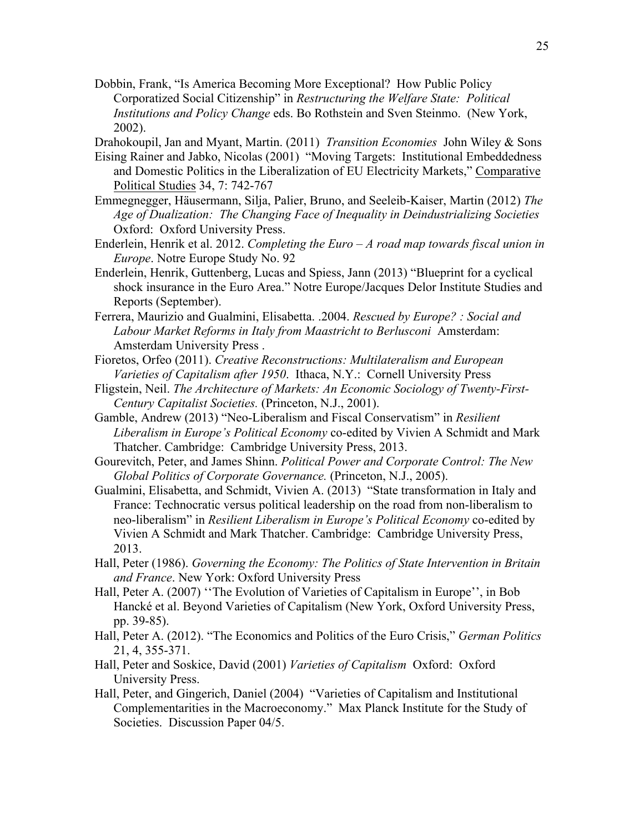Dobbin, Frank, "Is America Becoming More Exceptional? How Public Policy Corporatized Social Citizenship" in *Restructuring the Welfare State: Political Institutions and Policy Change* eds. Bo Rothstein and Sven Steinmo. (New York, 2002).

Drahokoupil, Jan and Myant, Martin. (2011) *Transition Economies* John Wiley & Sons

- Eising Rainer and Jabko, Nicolas (2001) "Moving Targets: Institutional Embeddedness and Domestic Politics in the Liberalization of EU Electricity Markets," Comparative Political Studies 34, 7: 742-767
- Emmegnegger, Häusermann, Silja, Palier, Bruno, and Seeleib-Kaiser, Martin (2012) *The Age of Dualization: The Changing Face of Inequality in Deindustrializing Societies* Oxford: Oxford University Press.
- Enderlein, Henrik et al. 2012. *Completing the Euro – A road map towards fiscal union in Europe*. Notre Europe Study No. 92
- Enderlein, Henrik, Guttenberg, Lucas and Spiess, Jann (2013) "Blueprint for a cyclical shock insurance in the Euro Area." Notre Europe/Jacques Delor Institute Studies and Reports (September).
- Ferrera, Maurizio and Gualmini, Elisabetta. .2004. *Rescued by Europe? : Social and Labour Market Reforms in Italy from Maastricht to Berlusconi* Amsterdam: Amsterdam University Press .
- Fioretos, Orfeo (2011). *Creative Reconstructions: Multilateralism and European Varieties of Capitalism after 1950*. Ithaca, N.Y.: Cornell University Press
- Fligstein, Neil. *The Architecture of Markets: An Economic Sociology of Twenty-First-Century Capitalist Societies.* (Princeton, N.J., 2001).
- Gamble, Andrew (2013) "Neo-Liberalism and Fiscal Conservatism" in *Resilient Liberalism in Europe's Political Economy* co-edited by Vivien A Schmidt and Mark Thatcher. Cambridge: Cambridge University Press, 2013.
- Gourevitch, Peter, and James Shinn. *Political Power and Corporate Control: The New Global Politics of Corporate Governance.* (Princeton, N.J., 2005).
- Gualmini, Elisabetta, and Schmidt, Vivien A. (2013) "State transformation in Italy and France: Technocratic versus political leadership on the road from non-liberalism to neo-liberalism" in *Resilient Liberalism in Europe's Political Economy* co-edited by Vivien A Schmidt and Mark Thatcher. Cambridge: Cambridge University Press, 2013.
- Hall, Peter (1986). *Governing the Economy: The Politics of State Intervention in Britain and France*. New York: Oxford University Press
- Hall, Peter A. (2007) ''The Evolution of Varieties of Capitalism in Europe'', in Bob Hancké et al. Beyond Varieties of Capitalism (New York, Oxford University Press, pp. 39-85).
- Hall, Peter A. (2012). "The Economics and Politics of the Euro Crisis," *German Politics* 21, 4, 355-371.
- Hall, Peter and Soskice, David (2001) *Varieties of Capitalism* Oxford: Oxford University Press.
- Hall, Peter, and Gingerich, Daniel (2004) "Varieties of Capitalism and Institutional Complementarities in the Macroeconomy." Max Planck Institute for the Study of Societies. Discussion Paper 04/5.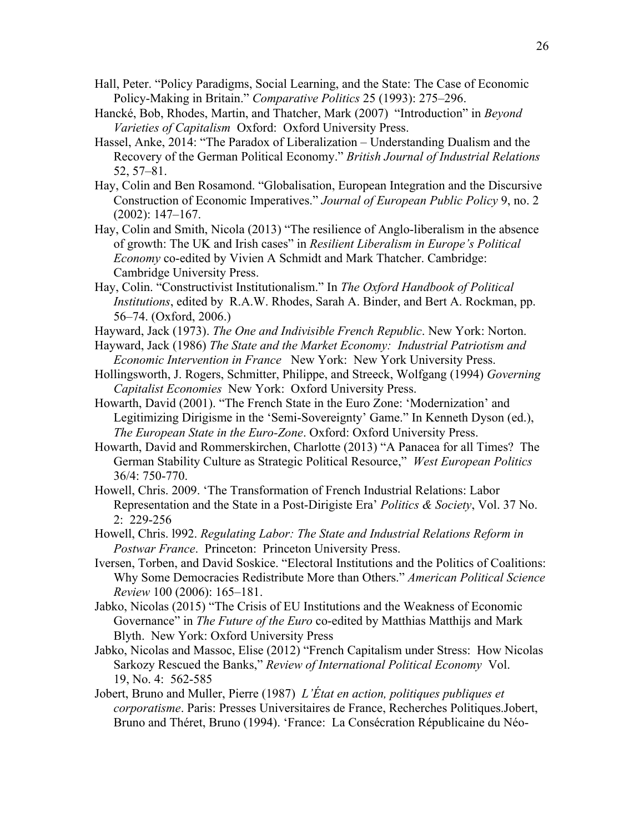- Hall, Peter. "Policy Paradigms, Social Learning, and the State: The Case of Economic Policy-Making in Britain." *Comparative Politics* 25 (1993): 275–296.
- Hancké, Bob, Rhodes, Martin, and Thatcher, Mark (2007) "Introduction" in *Beyond Varieties of Capitalism* Oxford: Oxford University Press.
- Hassel, Anke, 2014: "The Paradox of Liberalization Understanding Dualism and the Recovery of the German Political Economy." *British Journal of Industrial Relations*  52, 57–81.
- Hay, Colin and Ben Rosamond. "Globalisation, European Integration and the Discursive Construction of Economic Imperatives." *Journal of European Public Policy* 9, no. 2 (2002): 147–167.
- Hay, Colin and Smith, Nicola (2013) "The resilience of Anglo-liberalism in the absence of growth: The UK and Irish cases" in *Resilient Liberalism in Europe's Political Economy* co-edited by Vivien A Schmidt and Mark Thatcher. Cambridge: Cambridge University Press.
- Hay, Colin. "Constructivist Institutionalism." In *The Oxford Handbook of Political Institutions*, edited by R.A.W. Rhodes, Sarah A. Binder, and Bert A. Rockman, pp. 56–74. (Oxford, 2006.)
- Hayward, Jack (1973). *The One and Indivisible French Republic*. New York: Norton.
- Hayward, Jack (1986) *The State and the Market Economy: Industrial Patriotism and Economic Intervention in France* New York: New York University Press.
- Hollingsworth, J. Rogers, Schmitter, Philippe, and Streeck, Wolfgang (1994) *Governing Capitalist Economies* New York: Oxford University Press.
- Howarth, David (2001). "The French State in the Euro Zone: 'Modernization' and Legitimizing Dirigisme in the 'Semi-Sovereignty' Game." In Kenneth Dyson (ed.), *The European State in the Euro-Zone*. Oxford: Oxford University Press.
- Howarth, David and Rommerskirchen, Charlotte (2013) "A Panacea for all Times? The German Stability Culture as Strategic Political Resource," *West European Politics* 36/4: 750-770.
- Howell, Chris. 2009. 'The Transformation of French Industrial Relations: Labor Representation and the State in a Post-Dirigiste Era' *Politics & Society*, Vol. 37 No. 2: 229-256
- Howell, Chris. l992. *Regulating Labor: The State and Industrial Relations Reform in Postwar France*. Princeton: Princeton University Press.
- Iversen, Torben, and David Soskice. "Electoral Institutions and the Politics of Coalitions: Why Some Democracies Redistribute More than Others." *American Political Science Review* 100 (2006): 165–181.
- Jabko, Nicolas (2015) "The Crisis of EU Institutions and the Weakness of Economic Governance" in *The Future of the Euro* co-edited by Matthias Matthijs and Mark Blyth. New York: Oxford University Press
- Jabko, Nicolas and Massoc, Elise (2012) "French Capitalism under Stress: How Nicolas Sarkozy Rescued the Banks," *Review of International Political Economy* Vol. 19, No. 4: 562-585
- Jobert, Bruno and Muller, Pierre (1987) *L'État en action, politiques publiques et corporatisme*. Paris: Presses Universitaires de France, Recherches Politiques.Jobert, Bruno and Théret, Bruno (1994). 'France: La Consécration Républicaine du Néo-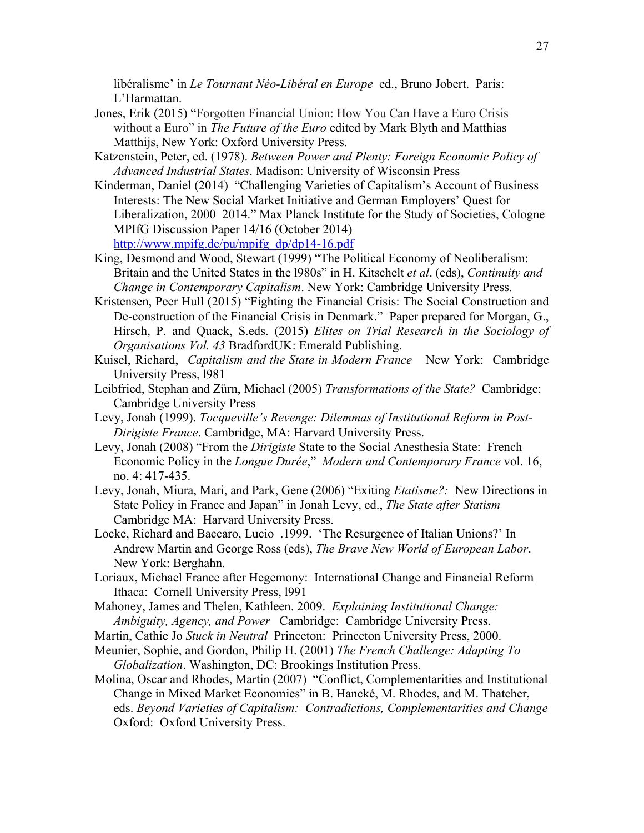libéralisme' in *Le Tournant Néo-Libéral en Europe* ed., Bruno Jobert. Paris: L'Harmattan.

- Jones, Erik (2015) "Forgotten Financial Union: How You Can Have a Euro Crisis without a Euro" in *The Future of the Euro* edited by Mark Blyth and Matthias Matthijs, New York: Oxford University Press.
- Katzenstein, Peter, ed. (1978). *Between Power and Plenty: Foreign Economic Policy of Advanced Industrial States*. Madison: University of Wisconsin Press
- Kinderman, Daniel (2014) "Challenging Varieties of Capitalism's Account of Business Interests: The New Social Market Initiative and German Employers' Quest for Liberalization, 2000–2014." Max Planck Institute for the Study of Societies, Cologne MPIfG Discussion Paper 14/16 (October 2014) http://www.mpifg.de/pu/mpifg\_dp/dp14-16.pdf
- King, Desmond and Wood, Stewart (1999) "The Political Economy of Neoliberalism: Britain and the United States in the l980s" in H. Kitschelt *et al*. (eds), *Continuity and Change in Contemporary Capitalism*. New York: Cambridge University Press.
- Kristensen, Peer Hull (2015) "Fighting the Financial Crisis: The Social Construction and De-construction of the Financial Crisis in Denmark." Paper prepared for Morgan, G., Hirsch, P. and Quack, S.eds. (2015) *Elites on Trial Research in the Sociology of Organisations Vol. 43* BradfordUK: Emerald Publishing.
- Kuisel, Richard, *Capitalism and the State in Modern France* New York: Cambridge University Press, l981
- Leibfried, Stephan and Zürn, Michael (2005) *Transformations of the State?* Cambridge: Cambridge University Press
- Levy, Jonah (1999). *Tocqueville's Revenge: Dilemmas of Institutional Reform in Post-Dirigiste France*. Cambridge, MA: Harvard University Press.
- Levy, Jonah (2008) "From the *Dirigiste* State to the Social Anesthesia State: French Economic Policy in the *Longue Durée*," *Modern and Contemporary France* vol. 16, no. 4: 417-435.
- Levy, Jonah, Miura, Mari, and Park, Gene (2006) "Exiting *Etatisme?:* New Directions in State Policy in France and Japan" in Jonah Levy, ed., *The State after Statism* Cambridge MA: Harvard University Press.
- Locke, Richard and Baccaro, Lucio .1999. 'The Resurgence of Italian Unions?' In Andrew Martin and George Ross (eds), *The Brave New World of European Labor*. New York: Berghahn.
- Loriaux, Michael France after Hegemony: International Change and Financial Reform Ithaca: Cornell University Press, l991
- Mahoney, James and Thelen, Kathleen. 2009. *Explaining Institutional Change: Ambiguity, Agency, and Power* Cambridge: Cambridge University Press.
- Martin, Cathie Jo *Stuck in Neutral* Princeton: Princeton University Press, 2000.
- Meunier, Sophie, and Gordon, Philip H. (2001) *The French Challenge: Adapting To Globalization*. Washington, DC: Brookings Institution Press.
- Molina, Oscar and Rhodes, Martin (2007) "Conflict, Complementarities and Institutional Change in Mixed Market Economies" in B. Hancké, M. Rhodes, and M. Thatcher, eds. *Beyond Varieties of Capitalism: Contradictions, Complementarities and Change* Oxford: Oxford University Press.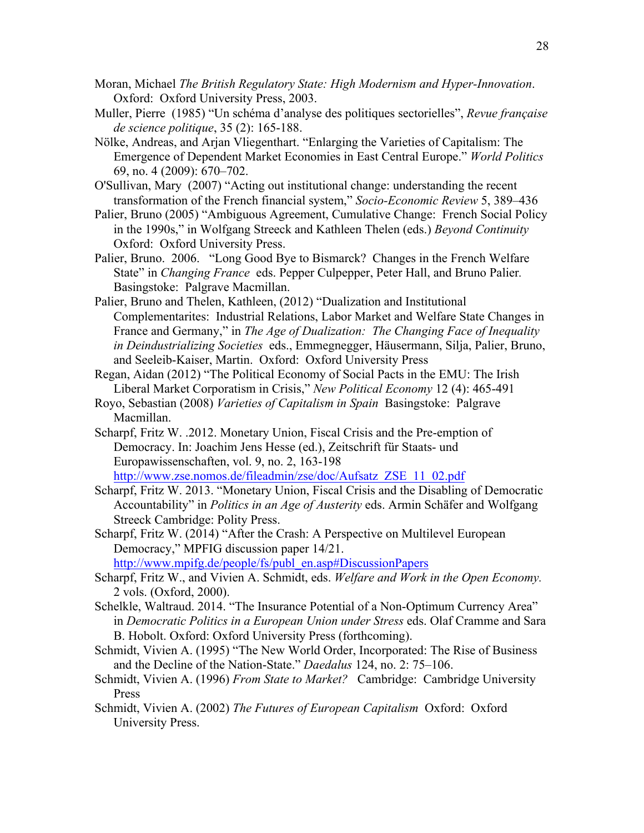- Moran, Michael *The British Regulatory State: High Modernism and Hyper-Innovation*. Oxford: Oxford University Press, 2003.
- Muller, Pierre (1985) "Un schéma d'analyse des politiques sectorielles", *Revue française de science politique*, 35 (2): 165-188.
- Nölke, Andreas, and Arjan Vliegenthart. "Enlarging the Varieties of Capitalism: The Emergence of Dependent Market Economies in East Central Europe." *World Politics* 69, no. 4 (2009): 670–702.
- O'Sullivan, Mary (2007) "Acting out institutional change: understanding the recent transformation of the French financial system," *Socio-Economic Review* 5, 389–436
- Palier, Bruno (2005) "Ambiguous Agreement, Cumulative Change: French Social Policy in the 1990s," in Wolfgang Streeck and Kathleen Thelen (eds.) *Beyond Continuity* Oxford: Oxford University Press.
- Palier, Bruno. 2006. "Long Good Bye to Bismarck? Changes in the French Welfare State" in *Changing France* eds. Pepper Culpepper, Peter Hall, and Bruno Palier*.*  Basingstoke: Palgrave Macmillan.
- Palier, Bruno and Thelen, Kathleen, (2012) "Dualization and Institutional Complementarites: Industrial Relations, Labor Market and Welfare State Changes in France and Germany," in *The Age of Dualization: The Changing Face of Inequality in Deindustrializing Societies* eds., Emmegnegger, Häusermann, Silja, Palier, Bruno, and Seeleib-Kaiser, Martin. Oxford: Oxford University Press
- Regan, Aidan (2012) "The Political Economy of Social Pacts in the EMU: The Irish Liberal Market Corporatism in Crisis," *New Political Economy* 12 (4): 465-491
- Royo, Sebastian (2008) *Varieties of Capitalism in Spain* Basingstoke: Palgrave Macmillan.
- Scharpf, Fritz W. .2012. Monetary Union, Fiscal Crisis and the Pre-emption of Democracy. In: Joachim Jens Hesse (ed.), Zeitschrift für Staats- und Europawissenschaften, vol. 9, no. 2, 163-198 http://www.zse.nomos.de/fileadmin/zse/doc/Aufsatz\_ZSE\_11\_02.pdf
- Scharpf, Fritz W. 2013. "Monetary Union, Fiscal Crisis and the Disabling of Democratic Accountability" in *Politics in an Age of Austerity* eds. Armin Schäfer and Wolfgang Streeck Cambridge: Polity Press.
- Scharpf, Fritz W. (2014) "After the Crash: A Perspective on Multilevel European Democracy," MPFIG discussion paper 14/21. http://www.mpifg.de/people/fs/publ\_en.asp#DiscussionPapers
- Scharpf, Fritz W., and Vivien A. Schmidt, eds. *Welfare and Work in the Open Economy.*  2 vols. (Oxford, 2000).
- Schelkle, Waltraud. 2014. "The Insurance Potential of a Non-Optimum Currency Area" in *Democratic Politics in a European Union under Stress* eds. Olaf Cramme and Sara B. Hobolt. Oxford: Oxford University Press (forthcoming).
- Schmidt, Vivien A. (1995) "The New World Order, Incorporated: The Rise of Business and the Decline of the Nation-State." *Daedalus* 124, no. 2: 75–106.
- Schmidt, Vivien A. (1996) *From State to Market?* Cambridge: Cambridge University Press
- Schmidt, Vivien A. (2002) *The Futures of European Capitalism* Oxford: Oxford University Press.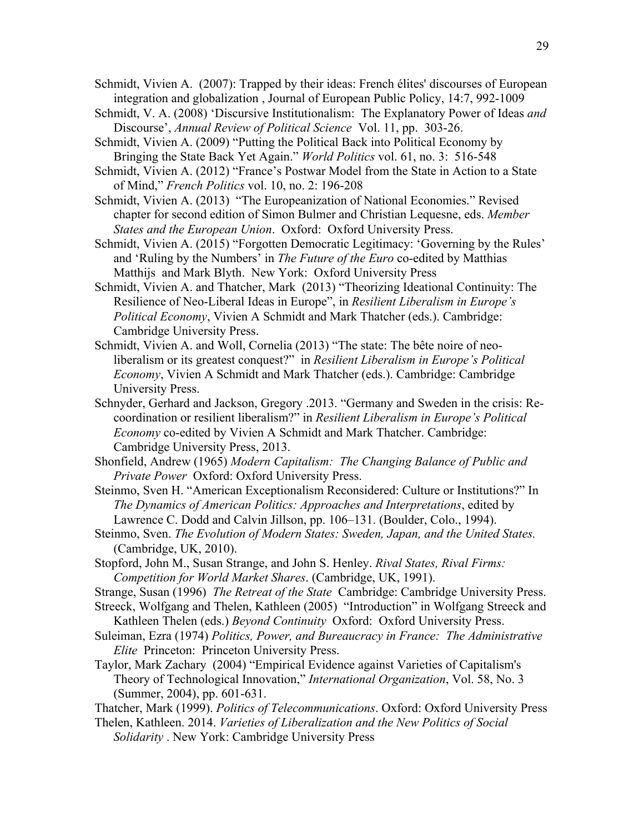- Schmidt, Vivien A. (2007): Trapped by their ideas: French élites' discourses of European integration and globalization , Journal of European Public Policy, 14:7, 992-1009
- Schmidt, V. A. (2008) 'Discursive Institutionalism: The Explanatory Power of Ideas *and* Discourse', *Annual Review of Political Science* Vol. 11, pp. 303-26.
- Schmidt, Vivien A. (2009) "Putting the Political Back into Political Economy by Bringing the State Back Yet Again." *World Politics* vol. 61, no. 3: 516-548
- Schmidt, Vivien A. (2012) "France's Postwar Model from the State in Action to a State of Mind," *French Politics* vol. 10, no. 2: 196-208
- Schmidt, Vivien A. (2013) "The Europeanization of National Economies." Revised chapter for second edition of Simon Bulmer and Christian Lequesne, eds. *Member States and the European Union*. Oxford: Oxford University Press.
- Schmidt, Vivien A. (2015) "Forgotten Democratic Legitimacy: 'Governing by the Rules' and 'Ruling by the Numbers' in *The Future of the Euro* co-edited by Matthias Matthijs and Mark Blyth. New York: Oxford University Press
- Schmidt, Vivien A. and Thatcher, Mark (2013) "Theorizing Ideational Continuity: The Resilience of Neo-Liberal Ideas in Europe", in *Resilient Liberalism in Europe's Political Economy*, Vivien A Schmidt and Mark Thatcher (eds.). Cambridge: Cambridge University Press.
- Schmidt, Vivien A. and Woll, Cornelia (2013) "The state: The bête noire of neoliberalism or its greatest conquest?" in *Resilient Liberalism in Europe's Political Economy*, Vivien A Schmidt and Mark Thatcher (eds.). Cambridge: Cambridge University Press.
- Schnyder, Gerhard and Jackson, Gregory .2013. "Germany and Sweden in the crisis: Recoordination or resilient liberalism?" in *Resilient Liberalism in Europe's Political Economy* co-edited by Vivien A Schmidt and Mark Thatcher. Cambridge: Cambridge University Press, 2013.
- Shonfield, Andrew (1965) *Modern Capitalism: The Changing Balance of Public and Private Power* Oxford: Oxford University Press.
- Steinmo, Sven H. "American Exceptionalism Reconsidered: Culture or Institutions?" In *The Dynamics of American Politics: Approaches and Interpretations*, edited by Lawrence C. Dodd and Calvin Jillson, pp. 106–131. (Boulder, Colo., 1994).
- Steinmo, Sven. *The Evolution of Modern States: Sweden, Japan, and the United States.* (Cambridge, UK, 2010).
- Stopford, John M., Susan Strange, and John S. Henley. *Rival States, Rival Firms: Competition for World Market Shares*. (Cambridge, UK, 1991).
- Strange, Susan (1996) *The Retreat of the State* Cambridge: Cambridge University Press.
- Streeck, Wolfgang and Thelen, Kathleen (2005) "Introduction" in Wolfgang Streeck and Kathleen Thelen (eds.) *Beyond Continuity* Oxford: Oxford University Press.
- Suleiman, Ezra (1974) *Politics, Power, and Bureaucracy in France: The Administrative Elite* Princeton: Princeton University Press.
- Taylor, Mark Zachary (2004) "Empirical Evidence against Varieties of Capitalism's Theory of Technological Innovation," *International Organization*, Vol. 58, No. 3 (Summer, 2004), pp. 601-631.
- Thatcher, Mark (1999). *Politics of Telecommunications*. Oxford: Oxford University Press
- Thelen, Kathleen. 2014. *Varieties of Liberalization and the New Politics of Social Solidarity* . New York: Cambridge University Press